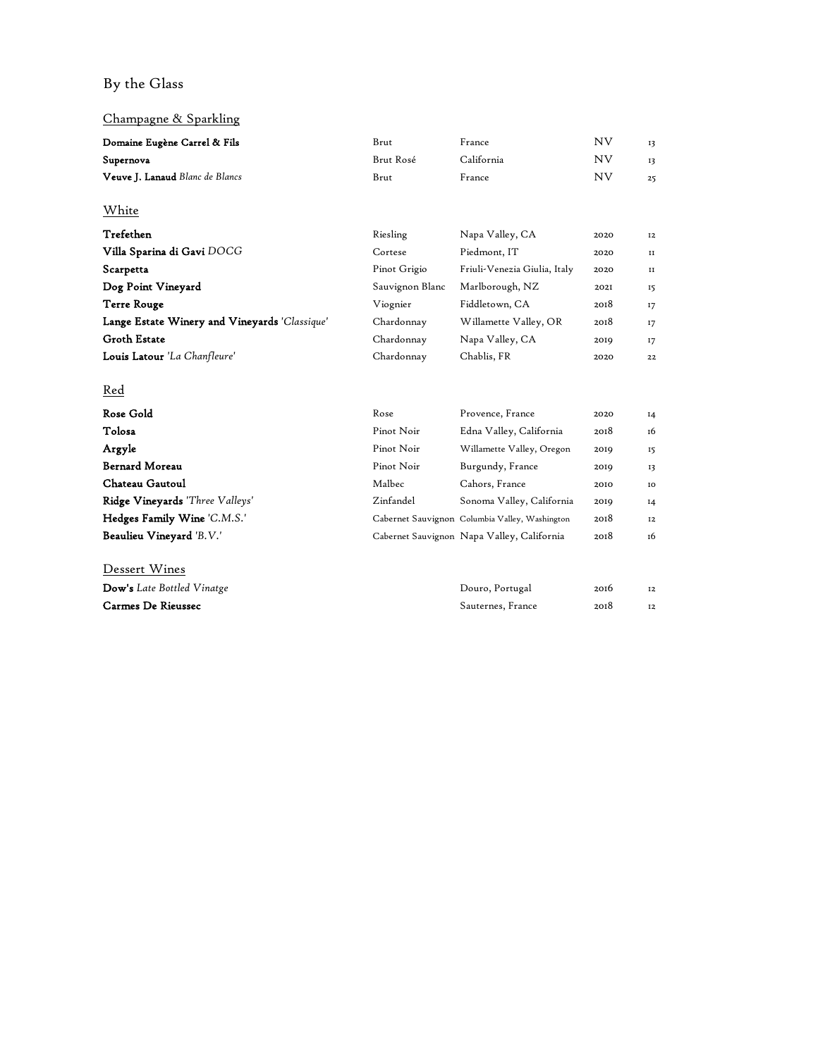# By the Glass

## Champagne & Sparkling

| Domaine Eugène Carrel & Fils                  | Brut            | France                                         | <b>NV</b> | 13    |
|-----------------------------------------------|-----------------|------------------------------------------------|-----------|-------|
| Supernova                                     | Brut Rosé       | California                                     | <b>NV</b> | 13    |
| Veuve J. Lanaud Blanc de Blancs               | Brut            | France                                         | <b>NV</b> | 25    |
| White                                         |                 |                                                |           |       |
| Trefethen                                     | Riesling        | Napa Valley, CA                                | 2020      | 12    |
| Villa Sparina di Gavi DOCG                    | Cortese         | Piedmont, IT                                   | 2020      | II    |
| Scarpetta                                     | Pinot Grigio    | Friuli-Venezia Giulia, Italy                   | 2020      | II    |
| Dog Point Vineyard                            | Sauvignon Blanc | Marlborough, NZ                                | 2021      | 15    |
| <b>Terre Rouge</b>                            | Viognier        | Fiddletown, CA                                 | 2018      | 17    |
| Lange Estate Winery and Vineyards 'Classique' | Chardonnay      | Willamette Valley, OR                          | 2018      | 17    |
| <b>Groth Estate</b>                           | Chardonnay      | Napa Valley, CA                                | 2019      | 17    |
| Louis Latour 'La Chanfleure'                  | Chardonnay      | Chablis, FR                                    | 2020      | 22    |
| Red                                           |                 |                                                |           |       |
| Rose Gold                                     | Rose            | Provence, France                               | 2020      | $I_4$ |
| Tolosa                                        | Pinot Noir      | Edna Valley, California                        | 2018      | 1б    |
| Argyle                                        | Pinot Noir      | Willamette Valley, Oregon                      | 2019      | 15    |
| <b>Bernard Moreau</b>                         | Pinot Noir      | Burgundy, France                               | 2019      | 13    |
| Chateau Gautoul                               | Malbec          | Cahors, France                                 | 2010      | IO    |
| Ridge Vineyards 'Three Valleys'               | Zinfandel       | Sonoma Valley, California                      | 2019      | $I_4$ |
| Hedges Family Wine 'C.M.S.'                   |                 | Cabernet Sauvignon Columbia Valley, Washington | 2018      | 12    |
| Beaulieu Vineyard 'B.V.'                      |                 | Cabernet Sauvignon Napa Valley, California     | 2018      | 16    |
| Dessert Wines                                 |                 |                                                |           |       |
| Dow's Late Bottled Vinatge                    |                 | Douro, Portugal                                | 2016      | 12    |
| Carmes De Rieussec                            |                 | Sauternes, France                              | 2018      | 12    |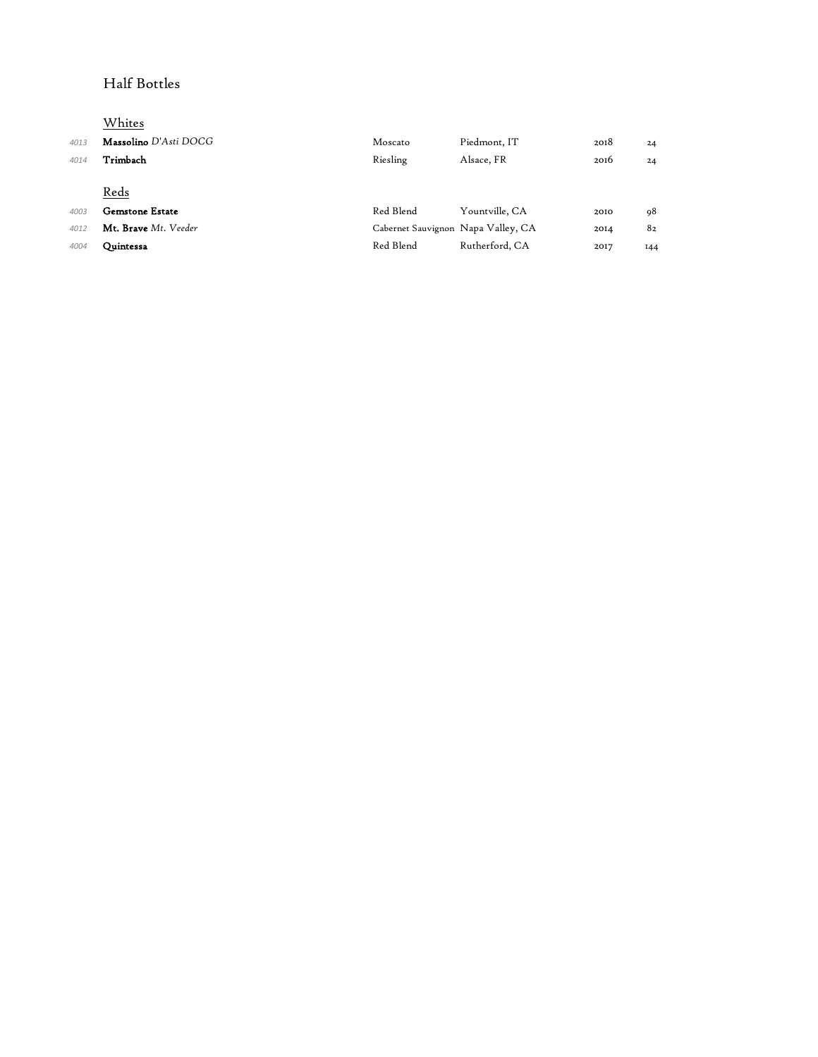## Half Bottles

# Whites

| 4013 | <b>Massolino</b> D'Asti DOCG | Moscato                            | Piedmont, IT   | 2018 | 24  |
|------|------------------------------|------------------------------------|----------------|------|-----|
| 4014 | Trimbach                     | Riesling                           | Alsace, FR     | 2016 | 24  |
|      |                              |                                    |                |      |     |
|      | Reds                         |                                    |                |      |     |
| 4003 | <b>Gemstone Estate</b>       | Red Blend                          | Yountville, CA | 2010 | 98  |
| 4012 | Mt. Brave Mt. Veeder         | Cabernet Sauvignon Napa Valley, CA |                | 2014 | 82  |
| 4004 | Ouintessa                    | Red Blend                          | Rutherford, CA | 2017 | 144 |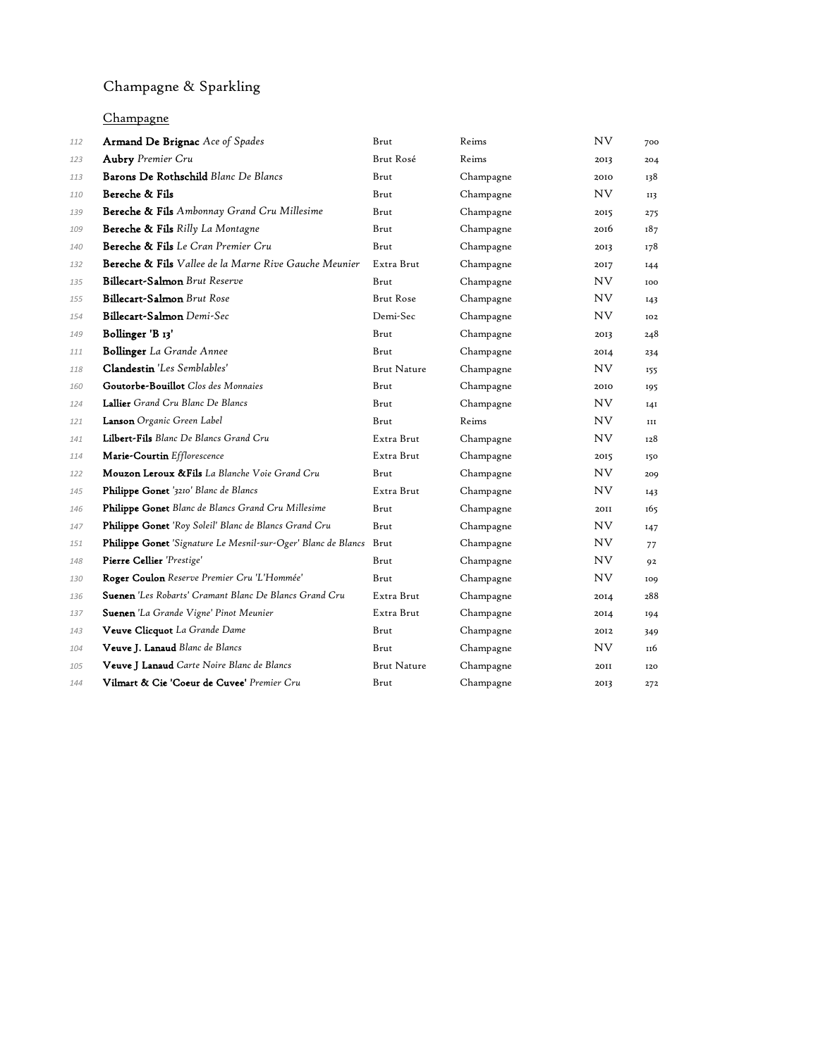# Champagne & Sparkling

### Champagne

| 112 | <b>Armand De Brignac</b> Ace of Spades                             | Brut               | Reims     | <b>NV</b> | 700 |
|-----|--------------------------------------------------------------------|--------------------|-----------|-----------|-----|
| 123 | <b>Aubry</b> Premier Cru                                           | Brut Rosé          | Reims     | 2013      | 204 |
| 113 | Barons De Rothschild Blanc De Blancs                               | Brut               | Champagne | 2010      | 138 |
| 110 | Bereche & Fils                                                     | Brut               | Champagne | NV.       | 113 |
| 139 | <b>Bereche &amp; Fils</b> Ambonnay Grand Cru Millesime             | Brut               | Champagne | 2015      | 275 |
| 109 | Bereche & Fils Rilly La Montagne                                   | Brut               | Champagne | 2016      | 187 |
| 140 | Bereche & Fils Le Cran Premier Cru                                 | Brut               | Champagne | 2013      | 178 |
| 132 | Bereche & Fils Vallee de la Marne Rive Gauche Meunier              | Extra Brut         | Champagne | 2017      | I44 |
| 135 | Billecart-Salmon Brut Reserve                                      | Brut               | Champagne | NV.       | 100 |
| 155 | Billecart-Salmon Brut Rose                                         | <b>Brut Rose</b>   | Champagne | NV.       | 143 |
| 154 | Billecart-Salmon Demi-Sec                                          | Demi-Sec           | Champagne | NV.       | 102 |
| 149 | Bollinger 'B <sub>13</sub> '                                       | Brut               | Champagne | 2013      | 248 |
| 111 | <b>Bollinger</b> La Grande Annee                                   | Brut               | Champagne | 2014      | 234 |
| 118 | Clandestin 'Les Semblables'                                        | <b>Brut Nature</b> | Champagne | NV.       | 155 |
| 160 | Goutorbe-Bouillot Clos des Monnaies                                | Brut               | Champagne | 2010      | 195 |
| 124 | Lallier Grand Cru Blanc De Blancs                                  | Brut               | Champagne | NV.       | I4I |
| 121 | Lanson Organic Green Label                                         | Brut               | Reims     | NV.       | III |
| 141 | Lilbert-Fils Blanc De Blancs Grand Cru                             | Extra Brut         | Champagne | NV.       | 128 |
| 114 | Marie-Courtin Efflorescence                                        | Extra Brut         | Champagne | 2015      | 150 |
| 122 | Mouzon Leroux & Fils La Blanche Voie Grand Cru                     | Brut               | Champagne | NV.       | 209 |
| 145 | Philippe Gonet '3210' Blanc de Blancs                              | Extra Brut         | Champagne | NV.       | 143 |
| 146 | Philippe Gonet Blanc de Blancs Grand Cru Millesime                 | Brut               | Champagne | 2011      | 165 |
| 147 | Philippe Gonet 'Roy Soleil' Blanc de Blancs Grand Cru              | Brut               | Champagne | NV.       | 147 |
| 151 | Philippe Gonet 'Signature Le Mesnil-sur-Oger' Blanc de Blancs Brut |                    | Champagne | NV.       | 77  |
| 148 | Pierre Cellier 'Prestige'                                          | Brut               | Champagne | NV.       | 92  |
| 130 | Roger Coulon Reserve Premier Cru 'L'Hommée'                        | Brut               | Champagne | NV.       | 109 |
| 136 | <b>Suenen</b> 'Les Robarts' Cramant Blanc De Blancs Grand Cru      | Extra Brut         | Champagne | 2014      | 288 |
| 137 | Suenen 'La Grande Vigne' Pinot Meunier                             | Extra Brut         | Champagne | 2014      | 194 |
| 143 | Veuve Clicquot La Grande Dame                                      | Brut               | Champagne | 2012      | 349 |
| 104 | Veuve J. Lanaud Blanc de Blancs                                    | Brut               | Champagne | NV.       | 116 |
| 105 | Veuve J Lanaud Carte Noire Blanc de Blancs                         | <b>Brut Nature</b> | Champagne | 2011      | 120 |
| 144 | Vilmart & Cie 'Coeur de Cuvee' Premier Cru                         | Brut               | Champagne | 2013      | 272 |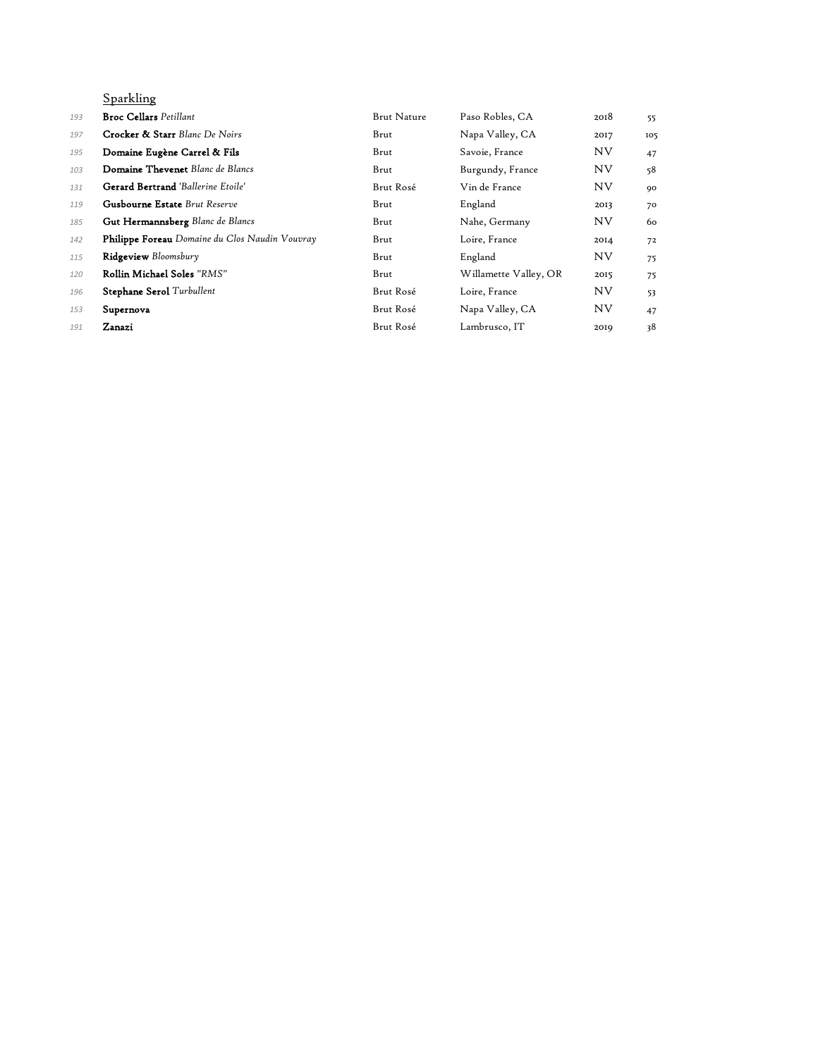## Sparkling

| 193 | <b>Broc Cellars</b> Petillant                  | <b>Brut Nature</b> | Paso Robles, CA       | 2018      | 55  |
|-----|------------------------------------------------|--------------------|-----------------------|-----------|-----|
| 197 | <b>Crocker &amp; Starr</b> Blanc De Noirs      | Brut               | Napa Valley, CA       | 2017      | 105 |
| 195 | Domaine Eugène Carrel & Fils                   | Brut               | Savoie, France        | <b>NV</b> | 47  |
| 103 | <b>Domaine Thevenet</b> Blanc de Blancs        | Brut               | Burgundy, France      | <b>NV</b> | 58  |
| 131 | <b>Gerard Bertrand</b> 'Ballerine Etoile'      | Brut Rosé          | Vin de France         | <b>NV</b> | 90  |
| 119 | <b>Gusbourne Estate</b> Brut Reserve           | Brut               | England               | 2013      | 70  |
| 185 | <b>Gut Hermannsberg</b> Blanc de Blancs        | Brut               | Nahe, Germany         | <b>NV</b> | 60  |
| 142 | Philippe Foreau Domaine du Clos Naudin Vouvray | Brut               | Loire, France         | 2014      | 72  |
| 115 | Ridgeview Bloomsbury                           | Brut               | England               | <b>NV</b> | 75  |
| 120 | Rollin Michael Soles "RMS"                     | Brut               | Willamette Valley, OR | 2015      | 75  |
| 196 | <b>Stephane Serol</b> Turbullent               | Brut Rosé          | Loire, France         | <b>NV</b> | 53  |
| 153 | Supernova                                      | Brut Rosé          | Napa Valley, CA       | <b>NV</b> | 47  |
| 191 | Zanazi                                         | Brut Rosé          | Lambrusco, IT         | 2019      | 38  |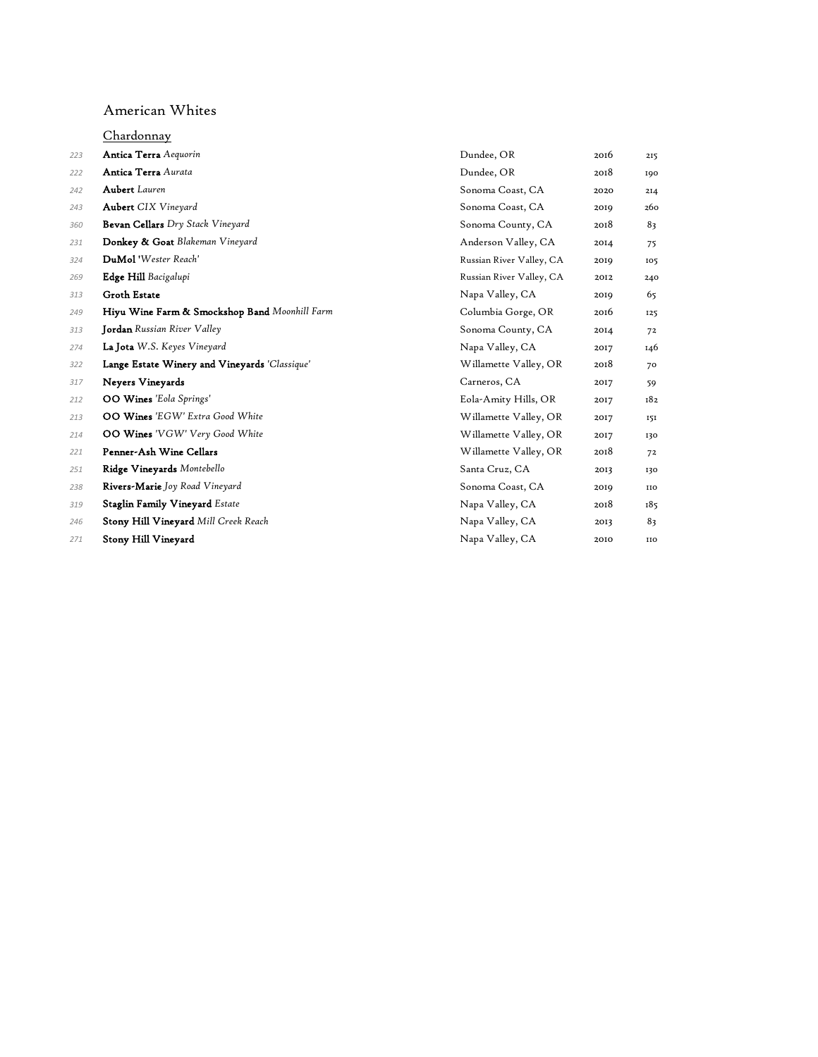#### American Whites

|     | Chardonnay                                    |                          |      |            |
|-----|-----------------------------------------------|--------------------------|------|------------|
| 223 | <b>Antica Terra</b> Aequorin                  | Dundee, OR               | 2016 | 215        |
| 222 | Antica Terra Aurata                           | Dundee, OR               | 2018 | 190        |
| 242 | <b>Aubert</b> Lauren                          | Sonoma Coast, CA         | 2020 | 214        |
| 243 | <b>Aubert</b> CIX Vineyard                    | Sonoma Coast, CA         | 2019 | 260        |
| 360 | Bevan Cellars Dry Stack Vineyard              | Sonoma County, CA        | 2018 | 83         |
| 231 | Donkey & Goat Blakeman Vineyard               | Anderson Valley, CA      | 2014 | 75         |
| 324 | DuMol 'Wester Reach'                          | Russian River Valley, CA | 2019 | 105        |
| 269 | Edge Hill Bacigalupi                          | Russian River Valley, CA | 2012 | 240        |
| 313 | <b>Groth Estate</b>                           | Napa Valley, CA          | 2019 | 65         |
| 249 | Hiyu Wine Farm & Smockshop Band Moonhill Farm | Columbia Gorge, OR       | 2016 | 125        |
| 313 | <b>Jordan</b> Russian River Valley            | Sonoma County, CA        | 2014 | 72         |
| 274 | La Jota W.S. Keyes Vineyard                   | Napa Valley, CA          | 2017 | 146        |
| 322 | Lange Estate Winery and Vineyards 'Classique' | Willamette Valley, OR    | 2018 | 70         |
| 317 | Neyers Vineyards                              | Carneros, CA             | 2017 | 59         |
| 212 | <b>OO Wines</b> 'Eola Springs'                | Eola-Amity Hills, OR     | 2017 | 182        |
| 213 | <b>OO Wines</b> 'EGW' Extra Good White        | Willamette Valley, OR    | 2017 | 151        |
| 214 | OO Wines 'VGW' Very Good White                | Willamette Valley, OR    | 2017 | 130        |
| 221 | Penner-Ash Wine Cellars                       | Willamette Valley, OR    | 2018 | 72         |
| 251 | Ridge Vineyards Montebello                    | Santa Cruz, CA           | 2013 | 130        |
| 238 | Rivers-Marie Joy Road Vineyard                | Sonoma Coast, CA         | 2019 | <b>IIO</b> |
| 319 | <b>Staglin Family Vineyard Estate</b>         | Napa Valley, CA          | 2018 | 185        |
| 246 | <b>Stony Hill Vineyard Mill Creek Reach</b>   | Napa Valley, CA          | 2013 | 83         |
| 271 | Stony Hill Vineyard                           | Napa Valley, CA          | 2010 | <b>IIO</b> |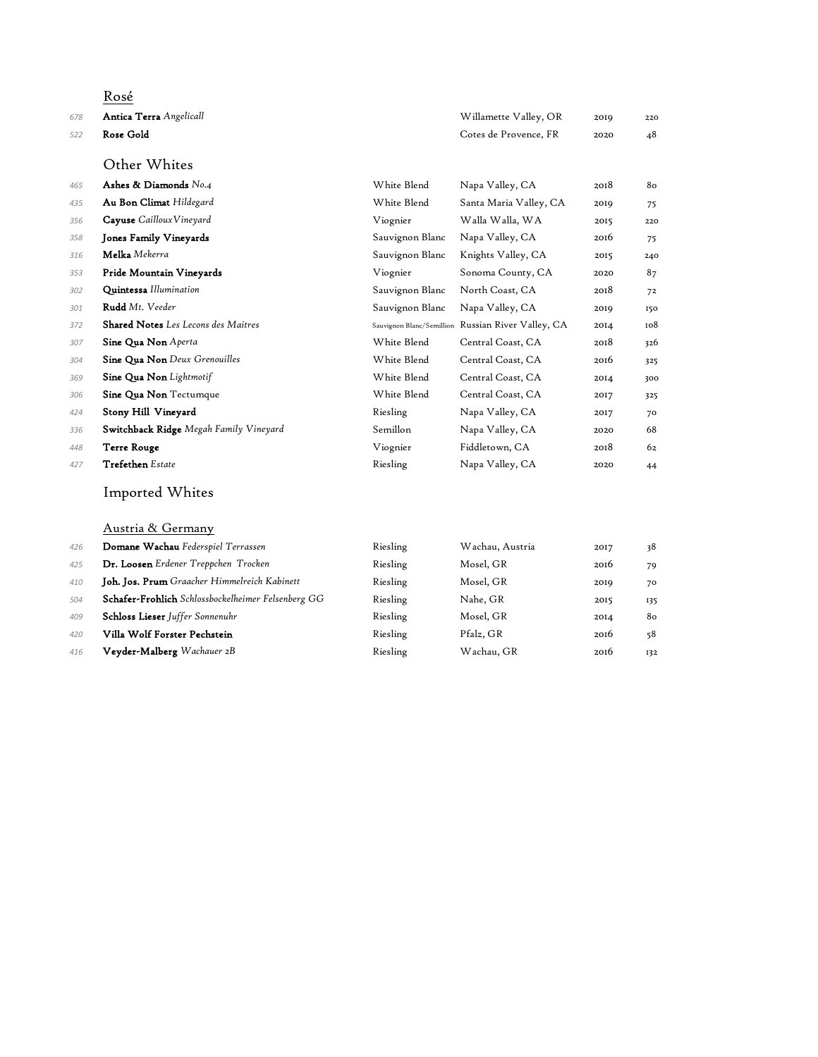## Rosé Antica Terra *Angelicall* Willamette Valley, OR 2019 220 Rose Gold Cotes de Provence, FR 2020 48 Other Whites Ashes & Diamonds *No.4* White Blend Napa Valley, CA 2018 80 Au Bon Climat *Hildegard* White Blend Santa Maria Valley, CA 2019 75 Cayuse *CaillouxVineyard* Viognier Walla Walla, WA 2015 220 Jones Family Vineyards Sauvignon Blanc Napa Valley, CA 2016 75 Melka *Mekerra* Sauvignon Blanc Knights Valley, CA 2015 240 Pride Mountain Vineyards Viognier Sonoma County, CA 2020 87 Quintessa *Illumination* Sauvignon Blanc North Coast, CA 2018 72 Rudd *Mt. Veeder* Sauvignon Blanc Napa Valley, CA 2019 150 **Shared Notes** Les Lecons des Maitres **Sauvignon Blanc/Semillion Russian River Valley, CA** 2014 108 Sine Qua Non *Aperta* White Blend Central Coast, CA 2018 326 Sine Qua Non *Deux Grenouilles* White Blend Central Coast, CA 2016 325 Sine Qua Non *Lightmotif* White Blend Central Coast, CA 2014 300 Sine Qua Non Tectumque White Blend Central Coast, CA 2017 325 <sup>424</sup> Stony Hill Vineyard **Riesling** Napa Valley, CA 2017 70 Switchback Ridge *Megah Family Vineyard* Semillon Napa Valley, CA 2020 68 Terre Rouge Viognier Fiddletown, CA 2018 62 Trefethen *Estate* Riesling Napa Valley, CA 2020 44

#### Imported Whites

Austria & Germany

| 426 | Domane Wachau Federspiel Terrassen                 | Riesling | Wachau, Austria | 2017 | 38  |
|-----|----------------------------------------------------|----------|-----------------|------|-----|
| 425 | Dr. Loosen Erdener Treppchen Trocken               | Riesling | Mosel, GR       | 2016 | 79  |
| 410 | Joh. Jos. Prum Graacher Himmelreich Kabinett       | Riesling | Mosel, GR       | 2019 | 70  |
| 504 | Schafer-Frohlich Schlossbockelheimer Felsenberg GG | Riesling | Nahe, GR        | 2015 | 135 |
| 409 | <b>Schloss Lieser</b> Juffer Sonnenuhr             | Riesling | Mosel, GR       | 2014 | 80  |
| 420 | Villa Wolf Forster Pechstein                       | Riesling | Pfalz, GR       | 2016 | 58  |
| 416 | <b>Veyder-Malberg</b> Wachauer 2B                  | Riesling | Wachau, GR      | 2016 | 132 |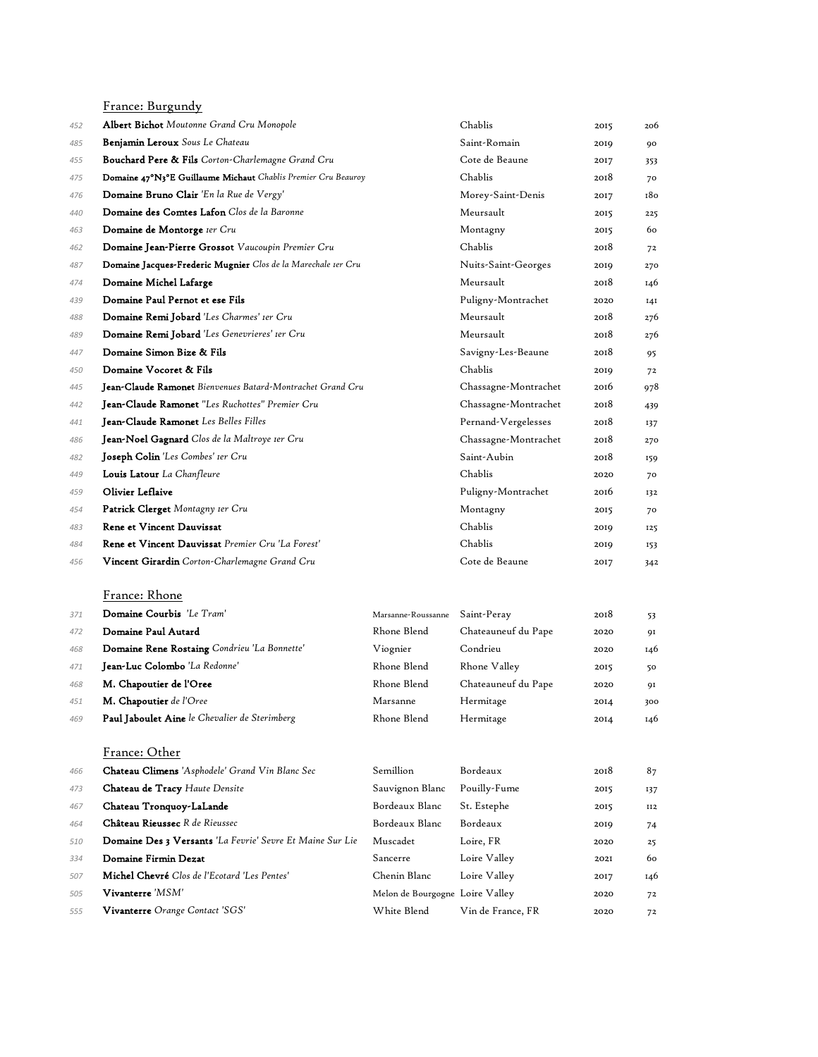France: Burgundy Albert Bichot *Moutonne Grand Cru Monopole* Chablis 2015 206 Benjamin Leroux *Sous Le Chateau* Saint-Romain 2019 90 Bouchard Pere & Fils *Corton-Charlemagne Grand Cru* Cote de Beaune 2017 353 Domaine 47°N3°E Guillaume Michaut *Chablis Premier Cru Beauroy* Chablis 2018 70 **Domaine Bruno Clair** *'En la Rue de Vergy'* Morey-Saint-Denis 2017 180 Domaine des Comtes Lafon *Clos de la Baronne* Meursault 2015 225 **Domaine de Montorge** *Ier Cru* **1989 1999 1999 1999 1999 1999 1999 1999 1999 1999 2015 1999 1999 1999 1999 1999 1999 1999 1999 1999 1999 1999 1999 1999 1999 1999 1**  Domaine Jean-Pierre Grossot *Vaucoupin Premier Cru* Chablis 2018 72 Domaine Jacques-Frederic Mugnier *Clos de la Marechale 1er Cru* Nuits-Saint-Georges 2019 270 **Domaine Michel Lafarge** 2018 146 Domaine Paul Pernot et ese Fils Puligny-Montrachet 2020 141 Domaine Remi Jobard *'Les Charmes' 1er Cru* Meursault 2018 276 Domaine Remi Jobard *'Les Genevrieres' 1er Cru* Meursault 2018 276 **Domaine Simon Bize & Fils** Savigny-Les-Beaune 2018 95 Domaine Vocoret & Fils Chablis 2019 72 Jean-Claude Ramonet *Bienvenues Batard-Montrachet Grand Cru* Chassagne-Montrachet 2016 978 Jean-Claude Ramonet *"Les Ruchottes" Premier Cru* Chassagne-Montrachet 2018 439 Jean-Claude Ramonet *Les Belles Filles* Pernand-Vergelesses 2018 137 Jean-Noel Gagnard *Clos de la Maltroye 1er Cru* Chassagne-Montrachet 2018 270 Joseph Colin *'Les Combes' 1er Cru* Saint-Aubin 2018 159 Louis Latour *La Chanfleure* Chablis 2020 70 459 Olivier Leflaive **Puligny-Montrachet** 2016 132 Patrick Clerget *Montagny 1er Cru* Montagny 2015 70 Rene et Vincent Dauvissat Chablis 2019 125 Rene et Vincent Dauvissat *Premier Cru 'La Forest'* Chablis 2019 153 Vincent Girardin *Corton-Charlemagne Grand Cru* Cote de Beaune 2017 342 France: Rhone Domaine Courbis *'Le Tram'* Marsanne-Roussanne Saint-Peray 2018 53 Domaine Paul Autard Rhone Blend Chateauneuf du Pape 2020 91 Domaine Rene Rostaing *Condrieu 'La Bonnette'* Viognier Condrieu 2020 146 Jean-Luc Colombo *'La Redonne'* Rhone Blend Rhone Valley 2015 50 M. Chapoutier de l'Oree Rhone Blend Chateauneuf du Pape 2020 91 **M. Chapoutier** de l'Oree **Marsanne Hermitage 1908** 2014 300 Paul Jaboulet Aine *le Chevalier de Sterimberg* Rhone Blend Hermitage 2014 146

#### France: Other

| 466 | Chateau Climens 'Asphodele' Grand Vin Blanc Sec           | <b>Semillion</b>                | Bordeaux          | 2018 | 87  |
|-----|-----------------------------------------------------------|---------------------------------|-------------------|------|-----|
| 473 | <b>Chateau de Tracy Haute Densite</b>                     | Sauvignon Blanc                 | Pouilly-Fume      | 2015 | 137 |
| 467 | Chateau Tronquoy-LaLande                                  | Bordeaux Blanc                  | St. Estephe       | 2015 | II2 |
| 464 | Château Rieussec R de Rieussec                            | Bordeaux Blanc                  | Bordeaux          | 2019 | 74  |
| 510 | Domaine Des 3 Versants 'La Fevrie' Sevre Et Maine Sur Lie | Muscadet                        | Loire, FR         | 2020 | 25  |
| 334 | Domaine Firmin Dezat                                      | Sancerre                        | Loire Valley      | 202I | 60  |
| 507 | <b>Michel Chevré</b> Clos de l'Ecotard 'Les Pentes'       | Chenin Blanc                    | Loire Valley      | 2017 | 146 |
| 505 | ${\bf Vivariate}$ re ' $MSM'$                             | Melon de Bourgogne Loire Valley |                   | 2020 | 72  |
| 555 | Vivanterre Orange Contact 'SGS'                           | White Blend                     | Vin de France, FR | 2020 | 72  |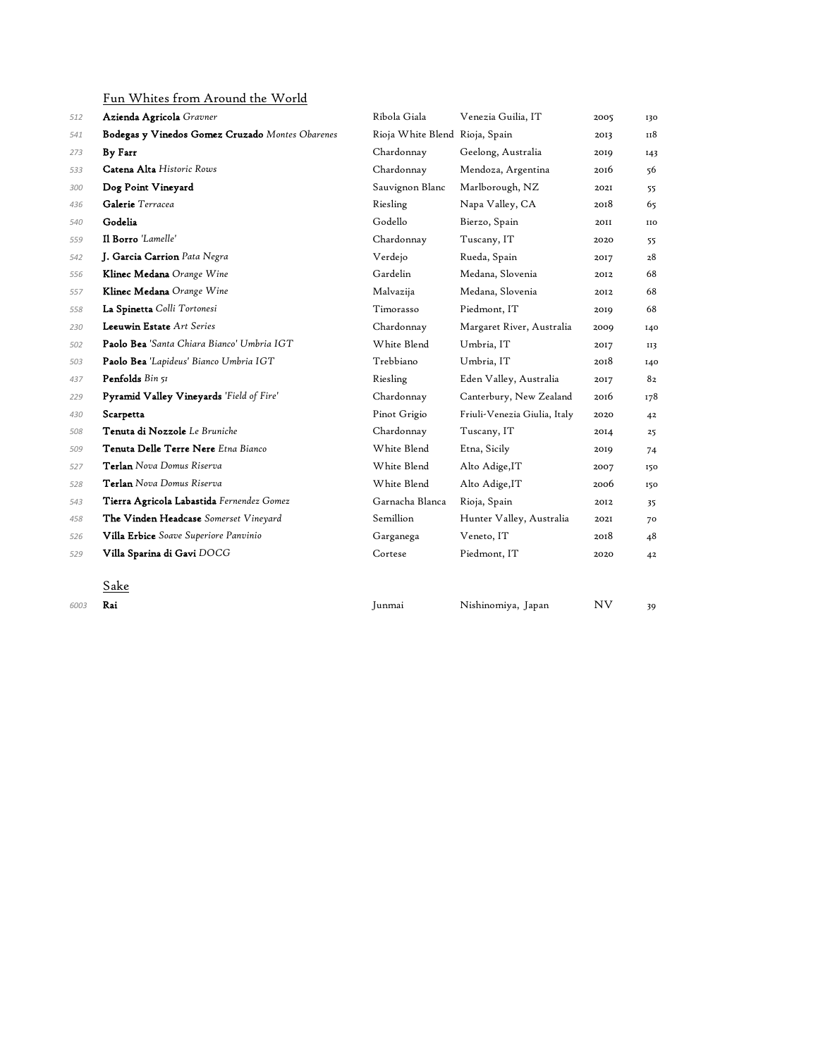Fun Whites from Around the World

| 512  | Azienda Agricola Gravner                        | Ribola Giala                   | Venezia Guilia, IT           | 2005      | 130 |
|------|-------------------------------------------------|--------------------------------|------------------------------|-----------|-----|
| 541  | Bodegas y Vinedos Gomez Cruzado Montes Obarenes | Rioja White Blend Rioja, Spain |                              | 2013      | 118 |
| 273  | By Farr                                         | Chardonnay                     | Geelong, Australia           | 2019      | 143 |
| 533  | Catena Alta Historic Rows                       | Chardonnay                     | Mendoza, Argentina           | 2016      | 56  |
| 300  | Dog Point Vineyard                              | Sauvignon Blanc                | Marlborough, NZ              | 2021      | 55  |
| 436  | Galerie Terracea                                | Riesling                       | Napa Valley, CA              | 2018      | 65  |
| 540  | Godelia                                         | Godello                        | Bierzo, Spain                | 20II      | IIO |
| 559  | Il Borro 'Lamelle'                              | Chardonnay                     | Tuscany, IT                  | 2020      | 55  |
| 542  | J. Garcia Carrion Pata Negra                    | Verdejo                        | Rueda, Spain                 | 2017      | 28  |
| 556  | Klinec Medana Orange Wine                       | Gardelin                       | Medana, Slovenia             | 2012      | 68  |
| 557  | Klinec Medana Orange Wine                       | Malvazija                      | Medana, Slovenia             | 2012      | 68  |
| 558  | La Spinetta Colli Tortonesi                     | Timorasso                      | Piedmont, IT                 | 2019      | 68  |
| 230  | Leeuwin Estate Art Series                       | Chardonnay                     | Margaret River, Australia    | 2009      | 140 |
| 502  | Paolo Bea 'Santa Chiara Bianco' Umbria IGT      | White Blend                    | Umbria, IT                   | 2017      | II3 |
| 503  | Paolo Bea 'Lapideus' Bianco Umbria IGT          | Trebbiano                      | Umbria, IT                   | 2018      | 140 |
| 437  | Penfolds Bin 51                                 | Riesling                       | Eden Valley, Australia       | 2017      | 82  |
| 229  | Pyramid Valley Vineyards 'Field of Fire'        | Chardonnay                     | Canterbury, New Zealand      | 2016      | 178 |
| 430  | Scarpetta                                       | Pinot Grigio                   | Friuli-Venezia Giulia, Italy | 2020      | 42  |
| 508  | Tenuta di Nozzole Le Bruniche                   | Chardonnay                     | Tuscany, IT                  | 2014      | 25  |
| 509  | Tenuta Delle Terre Nere Etna Bianco             | White Blend                    | Etna, Sicily                 | 2019      | 74  |
| 527  | Terlan Nova Domus Riserva                       | White Blend                    | Alto Adige, IT               | 2007      | 150 |
| 528  | Terlan Nova Domus Riserva                       | White Blend                    | Alto Adige, IT               | 2006      | 150 |
| 543  | Tierra Agricola Labastida Fernendez Gomez       | Garnacha Blanca                | Rioja, Spain                 | 2012      | 35  |
| 458  | The Vinden Headcase Somerset Vineyard           | Semillion                      | Hunter Valley, Australia     | 202I      | 70  |
| 526  | Villa Erbice Soave Superiore Panvinio           | Garganega                      | Veneto, IT                   | 2018      | 48  |
| 529  | Villa Sparina di Gavi DOCG                      | Cortese                        | Piedmont, IT                 | 2020      | 42  |
|      | <u>Sake</u>                                     |                                |                              |           |     |
| 6003 | Rai                                             | Junmai                         | Nishinomiya, Japan           | <b>NV</b> | 39  |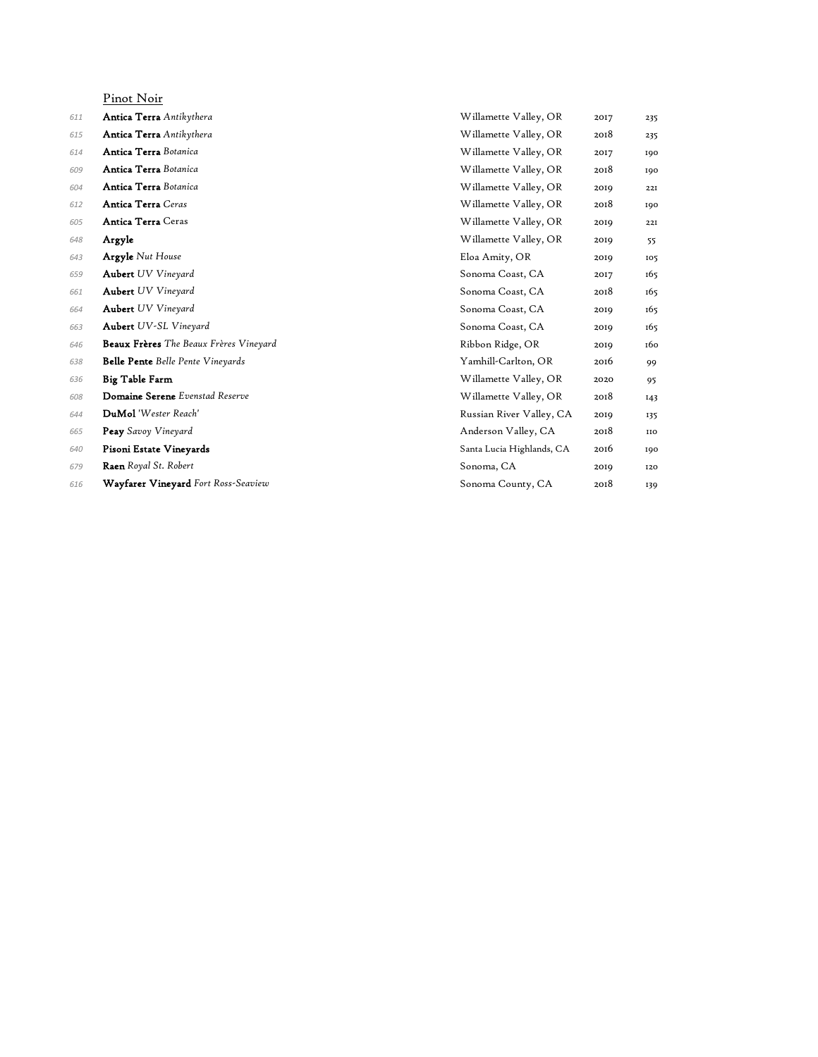|     | Pinot Noir                               |                           |      |            |
|-----|------------------------------------------|---------------------------|------|------------|
| 611 | <b>Antica Terra</b> Antikythera          | Willamette Valley, OR     | 2017 | 235        |
| 615 | <b>Antica Terra</b> Antikythera          | Willamette Valley, OR     | 2018 | 235        |
| 614 | Antica Terra Botanica                    | Willamette Valley, OR     | 2017 | 190        |
| 609 | Antica Terra Botanica                    | Willamette Valley, OR     | 2018 | 190        |
| 604 | Antica Terra Botanica                    | Willamette Valley, OR     | 2019 | 22I        |
| 612 | <b>Antica Terra</b> Ceras                | Willamette Valley, OR     | 2018 | 190        |
| 605 | <b>Antica Terra</b> Ceras                | Willamette Valley, OR     | 2019 | 22I        |
| 648 | Argyle                                   | Willamette Valley, OR     | 2019 | 55         |
| 643 | <b>Argyle</b> Nut House                  | Eloa Amity, OR            | 2019 | 105        |
| 659 | <b>Aubert</b> UV Vineyard                | Sonoma Coast, CA          | 2017 | 165        |
| 661 | <b>Aubert</b> UV Vineyard                | Sonoma Coast, CA          | 2018 | 165        |
| 664 | <b>Aubert</b> UV Vineyard                | Sonoma Coast, CA          | 2019 | 165        |
| 663 | <b>Aubert</b> UV-SL Vineyard             | Sonoma Coast, CA          | 2019 | 165        |
| 646 | Beaux Frères The Beaux Frères Vineyard   | Ribbon Ridge, OR          | 2019 | 160        |
| 638 | <b>Belle Pente</b> Belle Pente Vineyards | Yamhill-Carlton, OR       | 2016 | 99         |
| 636 | Big Table Farm                           | Willamette Valley, OR     | 2020 | 95         |
| 608 | Domaine Serene Evenstad Reserve          | Willamette Valley, OR     | 2018 | 143        |
| 644 | DuMol 'Wester Reach'                     | Russian River Valley, CA  | 2019 | 135        |
| 665 | Peay Savoy Vineyard                      | Anderson Valley, CA       | 2018 | <b>IIO</b> |
| 640 | Pisoni Estate Vineyards                  | Santa Lucia Highlands, CA | 2016 | 190        |
| 679 | Raen Royal St. Robert                    | Sonoma, CA                | 2019 | 120        |
| 616 | Wayfarer Vineyard Fort Ross-Seaview      | Sonoma County, CA         | 2018 | 139        |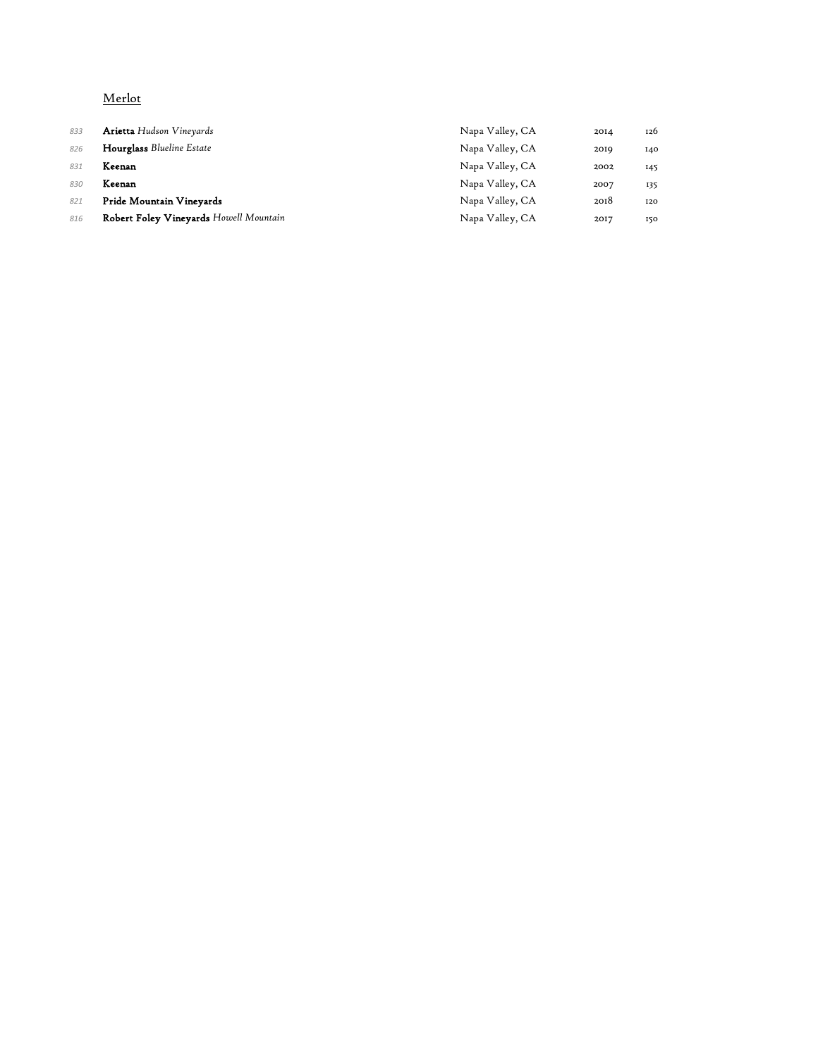## Merlot

| 833 | <b>Arietta</b> Hudson Vineyards        | Napa Valley, CA | 2014 | 126 |
|-----|----------------------------------------|-----------------|------|-----|
| 826 | Hourglass Blueline Estate              | Napa Valley, CA | 2019 | 140 |
| 831 | Keenan                                 | Napa Valley, CA | 2002 | 145 |
| 830 | Keenan                                 | Napa Valley, CA | 2007 | 135 |
| 821 | Pride Mountain Vineyards               | Napa Valley, CA | 2018 | 120 |
| 816 | Robert Foley Vineyards Howell Mountain | Napa Valley, CA | 2017 | 150 |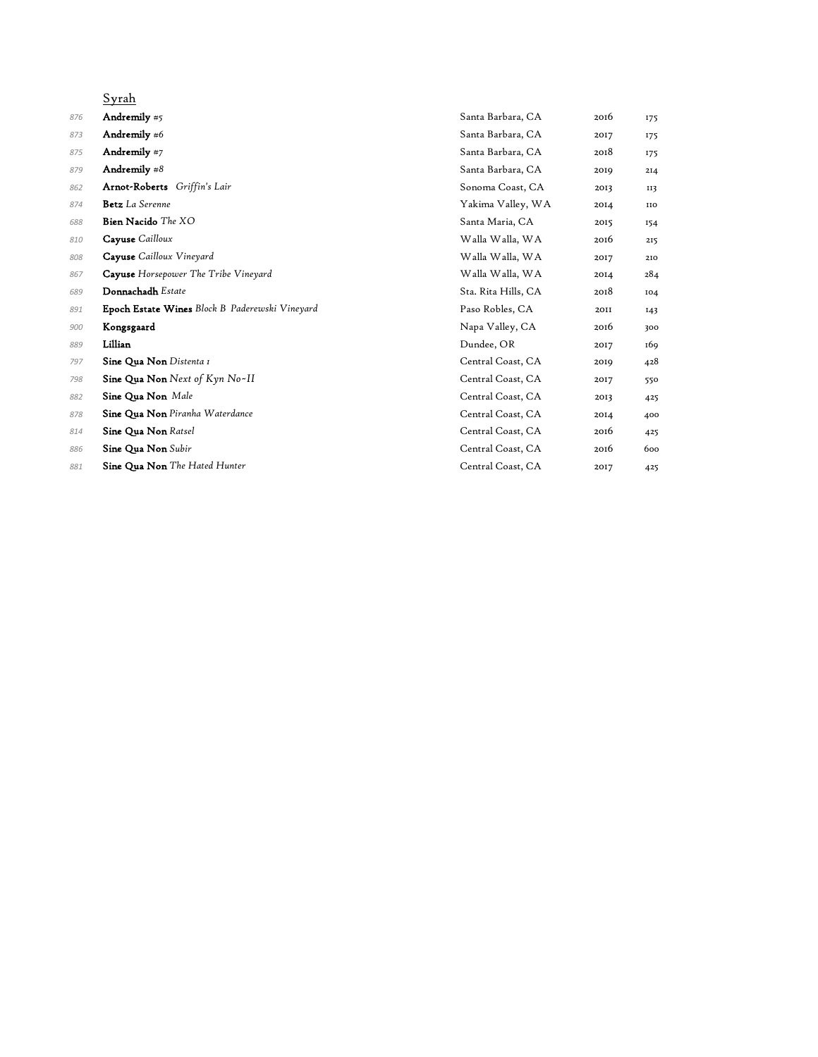| Syrah                                          |                     |      |                 |
|------------------------------------------------|---------------------|------|-----------------|
| Andremily #5                                   | Santa Barbara, CA   | 2016 | 175             |
| Andremily $#6$                                 | Santa Barbara, CA   | 2017 | 175             |
| Andremily #7                                   | Santa Barbara, CA   | 2018 | 175             |
| Andremily $#8$                                 | Santa Barbara, CA   | 2019 | 2I <sub>4</sub> |
| Arnot-Roberts Griffin's Lair                   | Sonoma Coast, CA    | 2013 | II3             |
| Betz La Serenne                                | Yakima Valley, WA   | 2014 | <b>IIO</b>      |
| Bien Nacido The XO                             | Santa Maria, CA     | 2015 | 154             |
| Cayuse Cailloux                                | Walla Walla, WA     | 2016 | 215             |
| Cayuse Cailloux Vineyard                       | Walla Walla, WA     | 2017 | 210             |
| Cayuse Horsepower The Tribe Vineyard           | Walla Walla, WA     | 2014 | 284             |
| Donnachadh Estate                              | Sta. Rita Hills, CA | 2018 | 104             |
| Epoch Estate Wines Block B Paderewski Vineyard | Paso Robles, CA     | 2011 | I43             |
| Kongsgaard                                     | Napa Valley, CA     | 2016 | 300             |
| Lillian                                        | Dundee, OR          | 2017 | 169             |
| Sine Qua Non Distenta I                        | Central Coast, CA   | 2019 | 428             |
| Sine Qua Non Next of Kyn No~II                 | Central Coast, CA   | 2017 | 550             |
| Sine Qua Non Male                              | Central Coast, CA   | 2013 | 425             |
| Sine Qua Non Piranha Waterdance                | Central Coast, CA   | 2014 | 400             |
| Sine Qua Non Ratsel                            | Central Coast, CA   | 2016 | 425             |
| Sine Qua Non Subir                             | Central Coast, CA   | 2016 | 600             |
| Sine Qua Non The Hated Hunter                  | Central Coast, CA   | 2017 | 425             |
|                                                |                     |      |                 |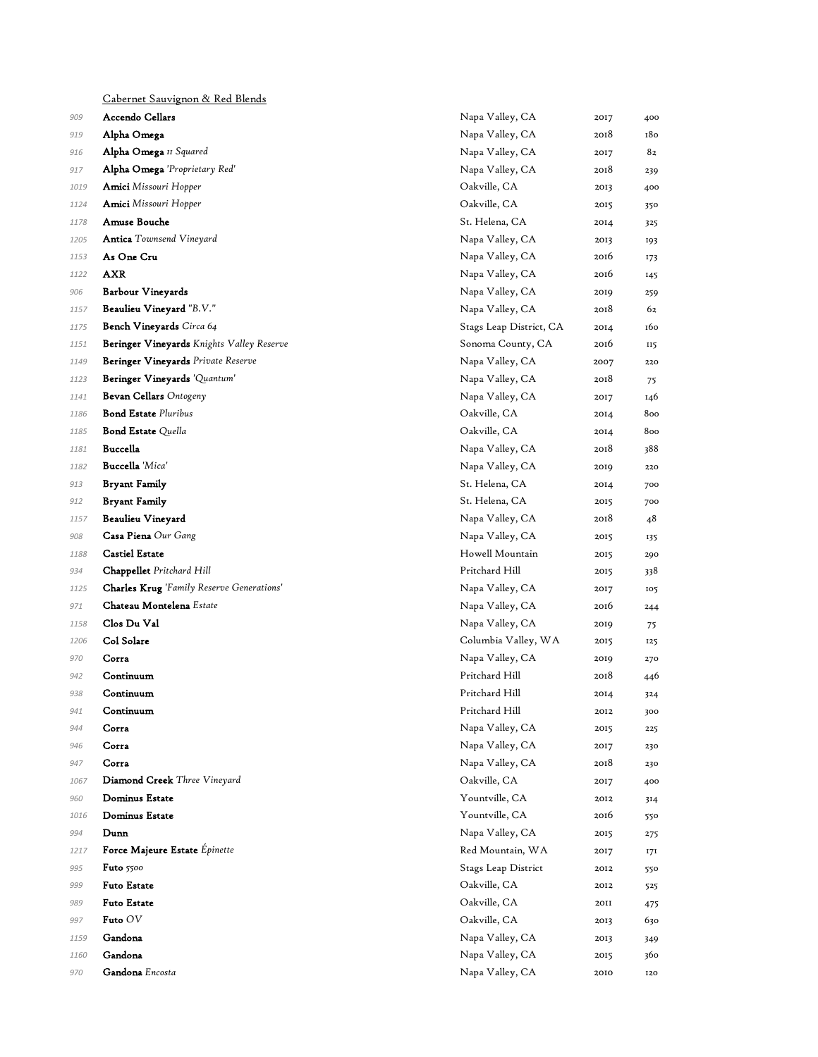|      | Cabernet Sauvignon & Red Blends           |                         |      |     |
|------|-------------------------------------------|-------------------------|------|-----|
| 909  | <b>Accendo Cellars</b>                    | Napa Valley, CA         | 2017 | 400 |
| 919  | Alpha Omega                               | Napa Valley, CA         | 2018 | 180 |
| 916  | Alpha Omega II Squared                    | Napa Valley, CA         | 2017 | 82  |
| 917  | Alpha Omega 'Proprietary Red'             | Napa Valley, CA         | 2018 | 239 |
| 1019 | Amici Missouri Hopper                     | Oakville, CA            | 2013 | 400 |
| 1124 | Amici Missouri Hopper                     | Oakville, CA            | 2015 | 350 |
| 1178 | Amuse Bouche                              | St. Helena, CA          | 2014 | 325 |
| 1205 | <b>Antica</b> Townsend Vineyard           | Napa Valley, CA         | 2013 | 193 |
| 1153 | As One Cru                                | Napa Valley, CA         | 2016 | 173 |
| 1122 | AXR                                       | Napa Valley, CA         | 2016 | 145 |
| 906  | <b>Barbour Vineyards</b>                  | Napa Valley, CA         | 2019 | 259 |
| 1157 | Beaulieu Vineyard "B.V."                  | Napa Valley, CA         | 2018 | 62  |
| 1175 | Bench Vineyards Circa 64                  | Stags Leap District, CA | 2014 | 160 |
| 1151 | Beringer Vineyards Knights Valley Reserve | Sonoma County, CA       | 2016 | 115 |
| 1149 | Beringer Vineyards Private Reserve        | Napa Valley, CA         | 2007 | 220 |
| 1123 | Beringer Vineyards 'Quantum'              | Napa Valley, CA         | 2018 | 75  |
| 1141 | Bevan Cellars Ontogeny                    | Napa Valley, CA         | 2017 | 146 |
| 1186 | <b>Bond Estate Pluribus</b>               | Oakville, CA            | 2014 | 800 |
| 1185 | <b>Bond Estate Quella</b>                 | Oakville, CA            | 2014 | 800 |
| 1181 | Buccella                                  | Napa Valley, CA         | 2018 | 388 |
| 1182 | Buccella 'Mica'                           | Napa Valley, CA         | 2019 | 220 |
| 913  | <b>Bryant Family</b>                      | St. Helena, CA          | 2014 | 700 |
| 912  | <b>Bryant Family</b>                      | St. Helena, CA          | 2015 | 700 |
| 1157 | Beaulieu Vineyard                         | Napa Valley, CA         | 2018 | 48  |
| 908  | Casa Piena Our Gang                       | Napa Valley, CA         | 2015 | 135 |
| 1188 | <b>Castiel Estate</b>                     | Howell Mountain         | 2015 | 290 |
| 934  | Chappellet Pritchard Hill                 | Pritchard Hill          | 2015 | 338 |
| 1125 | Charles Krug 'Family Reserve Generations' | Napa Valley, CA         | 2017 | 105 |
| 971  | Chateau Montelena Estate                  | Napa Valley, CA         | 2016 | 244 |
| 1158 | Clos Du Val                               | Napa Valley, CA         | 2019 | 75  |
| 1206 | Col Solare                                | Columbia Valley, WA     | 2015 | 125 |
| 970  | Corra                                     | Napa Valley, CA         | 2019 | 270 |
| 942  | Continuum                                 | Pritchard Hill          | 2018 | 446 |
| 938  | Continuum                                 | Pritchard Hill          | 2014 | 324 |
| 941  | Continuum                                 | Pritchard Hill          | 2012 | 300 |
| 944  | Corra                                     | Napa Valley, CA         | 2015 | 225 |
| 946  | Corra                                     | Napa Valley, CA         | 2017 | 230 |
| 947  | Corra                                     | Napa Valley, CA         | 2018 | 230 |
| 1067 | Diamond Creek Three Vineyard              | Oakville, CA            | 2017 | 400 |
| 960  | Dominus Estate                            | Yountville, CA          | 2012 | 314 |
| 1016 | Dominus Estate                            | Yountville, CA          | 2016 | 550 |
| 994  | Dunn                                      | Napa Valley, CA         | 2015 | 275 |
| 1217 | Force Majeure Estate Épinette             | Red Mountain, WA        | 2017 | 171 |
| 995  | <b>Futo</b> 5500                          | Stags Leap District     | 2012 | 550 |
| 999  | <b>Futo Estate</b>                        | Oakville, CA            | 2012 | 525 |
| 989  | <b>Futo Estate</b>                        | Oakville, CA            | 2011 | 475 |
| 997  | Futo OV                                   | Oakville, CA            | 2013 | 630 |
| 1159 | Gandona                                   | Napa Valley, CA         | 2013 | 349 |
| 1160 | Gandona                                   | Napa Valley, CA         | 2015 | 360 |
| 970  | Gandona Encosta                           | Napa Valley, CA         | 2010 | 120 |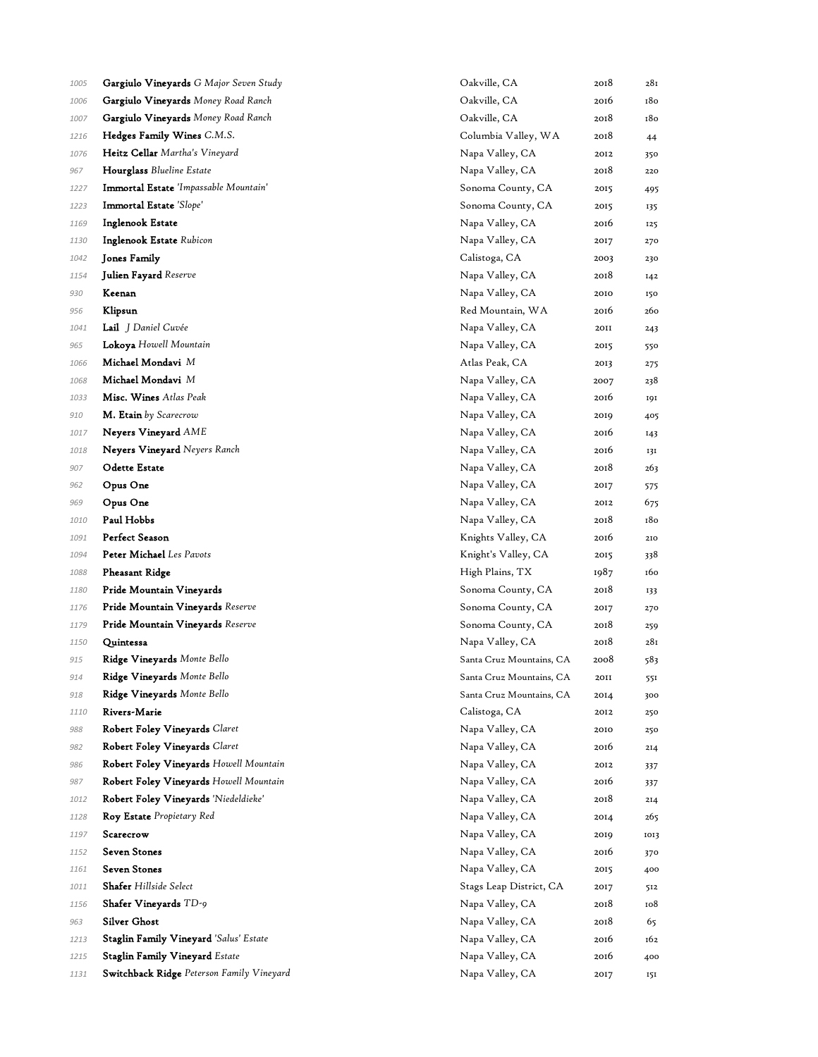| 1005 | <b>Gargiulo Vineyards</b> G Major Seven Study | Oakville, CA             | 2018        | 281  |
|------|-----------------------------------------------|--------------------------|-------------|------|
| 1006 | Gargiulo Vineyards Money Road Ranch           | Oakville, CA             | 2016        | 180  |
| 1007 | <b>Gargiulo Vineyards</b> Money Road Ranch    | Oakville, CA             | 2018        | 180  |
| 1216 | Hedges Family Wines C.M.S.                    | Columbia Valley, WA      | 2018        | 44   |
| 1076 | Heitz Cellar Martha's Vineyard                | Napa Valley, CA          | 2012        | 350  |
| 967  | <b>Hourglass</b> Blueline Estate              | Napa Valley, CA          | 2018        | 220  |
| 1227 | Immortal Estate 'Impassable Mountain'         | Sonoma County, CA        | 2015        | 495  |
| 1223 | Immortal Estate 'Slope'                       | Sonoma County, CA        | 2015        | 135  |
| 1169 | Inglenook Estate                              | Napa Valley, CA          | 2016        | 125  |
| 1130 | Inglenook Estate Rubicon                      | Napa Valley, CA          | 2017        | 270  |
| 1042 | Jones Family                                  | Calistoga, CA            | 2003        | 230  |
| 1154 | <b>Julien Fayard</b> Reserve                  | Napa Valley, CA          | 2018        | 142  |
| 930  | Keenan                                        | Napa Valley, CA          | 2010        | 150  |
| 956  | Klipsun                                       | Red Mountain, WA         | 2016        | 260  |
| 1041 | <b>Lail</b> J Daniel Cuvée                    | Napa Valley, CA          | <b>20II</b> | 243  |
| 965  | Lokoya Howell Mountain                        | Napa Valley, CA          | 2015        | 550  |
| 1066 | Michael Mondavi M                             | Atlas Peak, CA           | 2013        | 275  |
| 1068 | Michael Mondavi M                             | Napa Valley, CA          | 2007        | 238  |
| 1033 | <b>Misc. Wines</b> Atlas Peak                 | Napa Valley, CA          | 2016        | 191  |
| 910  | M. Etain by Scarecrow                         | Napa Valley, CA          | 2019        | 405  |
| 1017 | Neyers Vineyard AME                           | Napa Valley, CA          | 2016        | 143  |
| 1018 | <b>Neyers Vineyard</b> Neyers Ranch           | Napa Valley, CA          | 2016        | 131  |
| 907  | Odette Estate                                 | Napa Valley, CA          | 2018        | 263  |
| 962  | Opus One                                      | Napa Valley, CA          | 2017        | 575  |
| 969  | Opus One                                      | Napa Valley, CA          | 2012        | 675  |
| 1010 | Paul Hobbs                                    | Napa Valley, CA          | 2018        | 180  |
| 1091 | Perfect Season                                | Knights Valley, CA       | 2016        | 210  |
| 1094 | Peter Michael Les Pavots                      | Knight's Valley, CA      | 2015        | 338  |
| 1088 | <b>Pheasant Ridge</b>                         | High Plains, TX          | 1987        | 160  |
| 1180 | Pride Mountain Vineyards                      | Sonoma County, CA        | 2018        | 133  |
| 1176 | Pride Mountain Vineyards Reserve              | Sonoma County, CA        | 2017        | 270  |
| 1179 | Pride Mountain Vineyards Reserve              | Sonoma County, CA        | 2018        | 259  |
| 1150 | Quintessa                                     | Napa Valley, CA          | 2018        | 281  |
| 915  | Ridge Vineyards Monte Bello                   | Santa Cruz Mountains, CA | 2008        | 583  |
| 914  | Ridge Vineyards Monte Bello                   | Santa Cruz Mountains, CA | 2011        | 551  |
| 918  | Ridge Vineyards Monte Bello                   | Santa Cruz Mountains, CA | 2014        | 300  |
| 1110 | <b>Rivers-Marie</b>                           | Calistoga, CA            | 2012        | 250  |
| 988  | Robert Foley Vineyards Claret                 | Napa Valley, CA          | 2010        | 250  |
| 982  | Robert Foley Vineyards Claret                 | Napa Valley, CA          | 2016        | 214  |
| 986  | Robert Foley Vineyards Howell Mountain        | Napa Valley, CA          | 2012        | 337  |
| 987  | Robert Foley Vineyards Howell Mountain        | Napa Valley, CA          | 2016        | 337  |
| 1012 | Robert Foley Vineyards 'Niedeldieke'          | Napa Valley, CA          | 2018        | 214  |
| 1128 | Roy Estate Propietary Red                     | Napa Valley, CA          | 2014        | 265  |
| 1197 | Scarecrow                                     | Napa Valley, CA          | 2019        | 1013 |
| 1152 | Seven Stones                                  | Napa Valley, CA          | 2016        | 370  |
| 1161 | <b>Seven Stones</b>                           | Napa Valley, CA          | 2015        | 400  |
| 1011 | <b>Shafer</b> Hillside Select                 | Stags Leap District, CA  | 2017        | 512  |
| 1156 | Shafer Vineyards TD-9                         | Napa Valley, CA          | 2018        | 108  |
| 963  | <b>Silver Ghost</b>                           | Napa Valley, CA          | 2018        | 65   |
| 1213 | Staglin Family Vineyard 'Salus' Estate        | Napa Valley, CA          | 2016        | 162  |
| 1215 | <b>Staglin Family Vineyard Estate</b>         | Napa Valley, CA          | 2016        | 400  |
| 1131 | Switchback Ridge Peterson Family Vineyard     | Napa Valley, CA          | 2017        | 151  |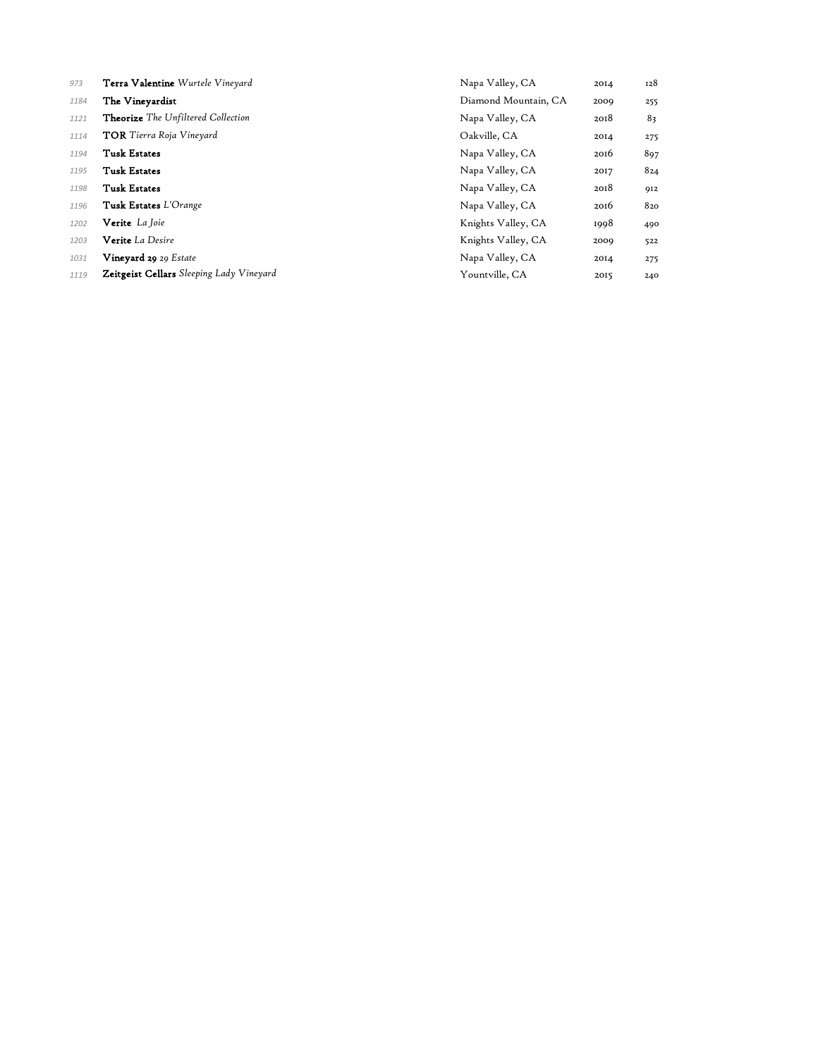| 973  | Terra Valentine Wurtele Vineyard                | Napa Valley, CA      | 2014 | 128 |
|------|-------------------------------------------------|----------------------|------|-----|
| 1184 | The Vineyardist                                 | Diamond Mountain, CA | 2009 | 255 |
| 1121 | <b>Theorize</b> The Unfiltered Collection       | Napa Valley, CA      | 2018 | 83  |
| 1114 | <b>TOR</b> Tierra Roja Vineyard                 | Oakville, CA         | 2014 | 275 |
| 1194 | <b>Tusk Estates</b>                             | Napa Valley, CA      | 2016 | 897 |
| 1195 | <b>Tusk Estates</b>                             | Napa Valley, CA      | 2017 | 824 |
| 1198 | <b>Tusk Estates</b>                             | Napa Valley, CA      | 2018 | 912 |
| 1196 | <b>Tusk Estates</b> L'Orange                    | Napa Valley, CA      | 2016 | 820 |
| 1202 | Verite La Joie                                  | Knights Valley, CA   | 1998 | 490 |
| 1203 | Verite La Desire                                | Knights Valley, CA   | 2009 | 522 |
| 1031 | Vineyard 29 29 Estate                           | Napa Valley, CA      | 2014 | 275 |
| 1119 | <b>Zeitgeist Cellars</b> Sleeping Lady Vineyard | Yountville, CA       | 2015 | 240 |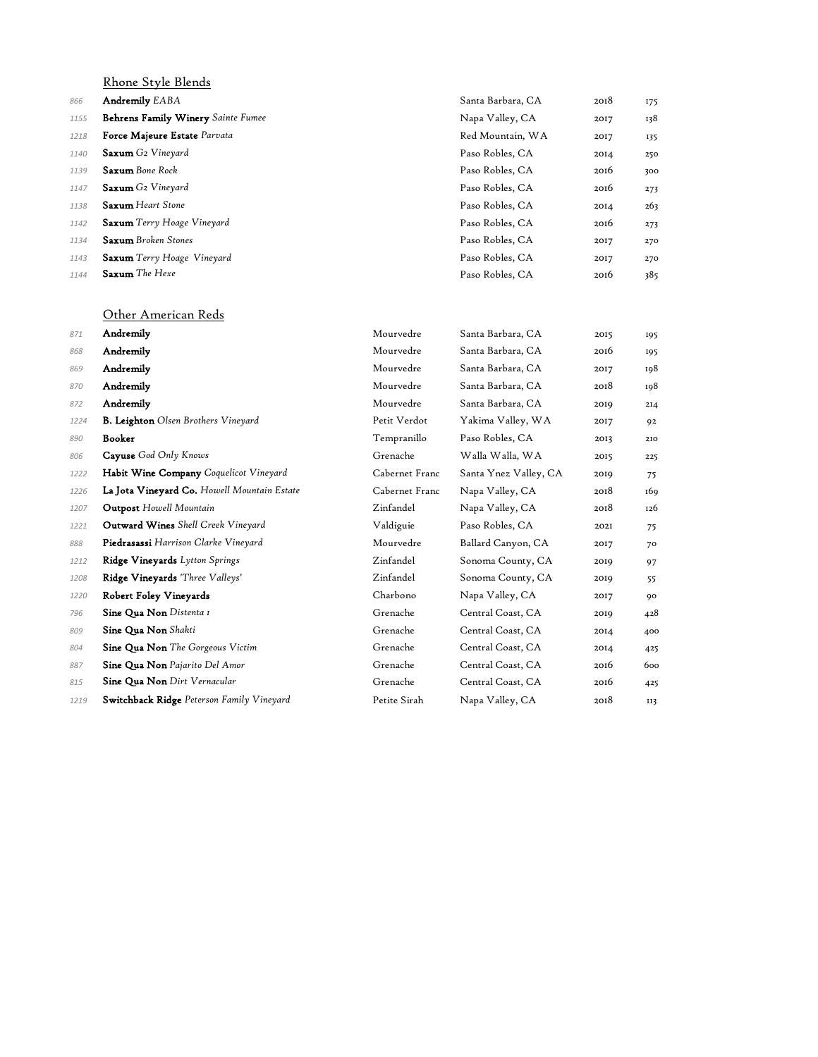|      | Rhone Style Blends                 |                   |      |     |
|------|------------------------------------|-------------------|------|-----|
| 866  | <b>Andremily EABA</b>              | Santa Barbara, CA | 2018 | 175 |
| 1155 | Behrens Family Winery Sainte Fumee | Napa Valley, CA   | 2017 | 138 |
| 1218 | Force Majeure Estate Parvata       | Red Mountain, WA  | 2017 | 135 |
| 1140 | <b>Saxum</b> G2 Vineyard           | Paso Robles, CA   | 2014 | 250 |
| 1139 | <b>Saxum</b> Bone Rock             | Paso Robles, CA   | 2016 | 300 |
| 1147 | <b>Saxum</b> G2 Vineyard           | Paso Robles, CA   | 2016 | 273 |
| 1138 | <b>Saxum</b> Heart Stone           | Paso Robles, CA   | 2014 | 263 |
| 1142 | <b>Saxum</b> Terry Hoage Vineyard  | Paso Robles, CA   | 2016 | 273 |
| 1134 | <b>Saxum</b> Broken Stones         | Paso Robles, CA   | 2017 | 270 |
| 1143 | <b>Saxum</b> Terry Hoage Vineyard  | Paso Robles, CA   | 2017 | 270 |
| 1144 | <b>Saxum</b> The Hexe              | Paso Robles, CA   | 2016 | 385 |

#### Other American Reds

| 871  | Andremily                                   | Mourvedre      | Santa Barbara, CA     | 2015 | 195 |
|------|---------------------------------------------|----------------|-----------------------|------|-----|
| 868  | Andremily                                   | Mourvedre      | Santa Barbara, CA     | 2016 | 195 |
| 869  | Andremily                                   | Mourvedre      | Santa Barbara, CA     | 2017 | 198 |
| 870  | Andremily                                   | Mourvedre      | Santa Barbara, CA     | 2018 | 198 |
| 872  | Andremily                                   | Mourvedre      | Santa Barbara, CA     | 2019 | 214 |
| 1224 | <b>B. Leighton</b> Olsen Brothers Vineyard  | Petit Verdot   | Yakima Valley, WA     | 2017 | 92  |
| 890  | <b>Booker</b>                               | Tempranillo    | Paso Robles, CA       | 2013 | 210 |
| 806  | Cayuse God Only Knows                       | Grenache       | Walla Walla, WA       | 2015 | 225 |
| 1222 | Habit Wine Company Coquelicot Vineyard      | Cabernet Franc | Santa Ynez Valley, CA | 2019 | 75  |
| 1226 | La Jota Vineyard Co. Howell Mountain Estate | Cabernet Franc | Napa Valley, CA       | 2018 | 169 |
| 1207 | <b>Outpost</b> Howell Mountain              | Zinfandel      | Napa Valley, CA       | 2018 | 126 |
| 1221 | Outward Wines Shell Creek Vineyard          | Valdiguie      | Paso Robles, CA       | 2021 | 75  |
| 888  | Piedrasassi Harrison Clarke Vineyard        | Mourvedre      | Ballard Canyon, CA    | 2017 | 70  |
| 1212 | Ridge Vineyards Lytton Springs              | Zinfandel      | Sonoma County, CA     | 2019 | 97  |
| 1208 | Ridge Vineyards 'Three Valleys'             | Zinfandel      | Sonoma County, CA     | 2019 | 55  |
| 1220 | Robert Foley Vineyards                      | Charbono       | Napa Valley, CA       | 2017 | 90  |
| 796  | Sine Qua Non Distenta 1                     | Grenache       | Central Coast, CA     | 2019 | 428 |
| 809  | Sine Qua Non Shakti                         | Grenache       | Central Coast, CA     | 2014 | 400 |
| 804  | Sine Qua Non The Gorgeous Victim            | Grenache       | Central Coast, CA     | 2014 | 425 |
| 887  | Sine Qua Non Pajarito Del Amor              | Grenache       | Central Coast, CA     | 2016 | 600 |
| 815  | Sine Qua Non Dirt Vernacular                | Grenache       | Central Coast, CA     | 2016 | 425 |
| 1219 | Switchback Ridge Peterson Family Vineyard   | Petite Sirah   | Napa Valley, CA       | 2018 | II3 |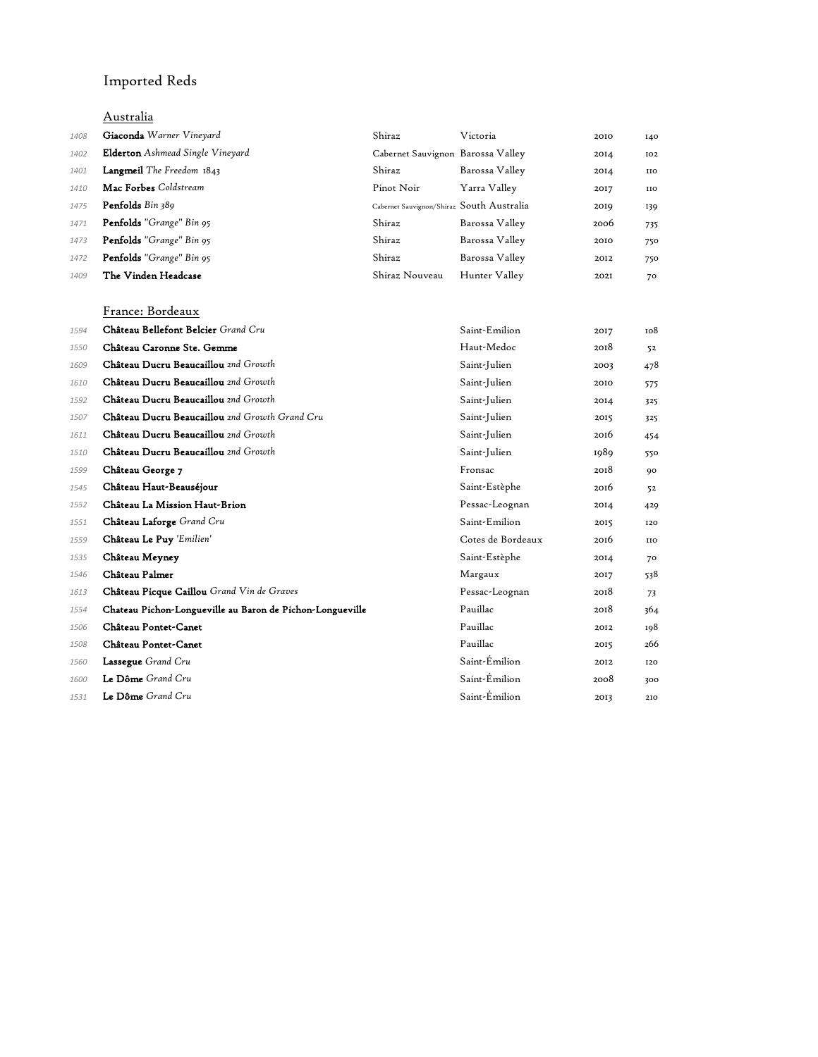# Imported Reds

### Australia

| 1408 | Giaconda Warner Vineyard                | Shiraz                                    | Victoria       | 2010 | 140 |
|------|-----------------------------------------|-------------------------------------------|----------------|------|-----|
| 1402 | <b>Elderton</b> Ashmead Single Vineyard | Cabernet Sauvignon Barossa Valley         |                | 2014 | 102 |
| 1401 | Langmeil The Freedom 1843               | Shiraz                                    | Barossa Valley | 2014 | IIO |
| 1410 | Mac Forbes Coldstream                   | Pinot Noir                                | Yarra Valley   | 2017 | IIO |
| 1475 | Penfolds Bin 389                        | Cabernet Sauvignon/Shiraz South Australia |                | 2019 | 139 |
| 1471 | <b>Penfolds</b> "Grange" Bin 95         | Shiraz                                    | Barossa Valley | 2006 | 735 |
| 1473 | Penfolds "Grange" Bin 95                | Shiraz                                    | Barossa Valley | 2010 | 750 |
| 1472 | <b>Penfolds</b> "Grange" Bin 95         | Shiraz                                    | Barossa Valley | 2012 | 750 |
| 1409 | The Vinden Headcase                     | Shiraz Nouveau                            | Hunter Valley  | 202I | 70  |

France: Bordeaux

| 1594 | Château Bellefont Belcier Grand Cru                       | Saint-Emilion     | 2017 | 108        |
|------|-----------------------------------------------------------|-------------------|------|------------|
| 1550 | Château Caronne Ste. Gemme                                | Haut-Medoc        | 2018 | 52         |
| 1609 | Château Ducru Beaucaillou 2nd Growth                      | Saint-Julien      | 2003 | 478        |
| 1610 | Château Ducru Beaucaillou 2nd Growth                      | Saint-Julien      | 2010 | 575        |
| 1592 | Château Ducru Beaucaillou 2nd Growth                      | Saint-Julien      | 2014 | 325        |
| 1507 | Château Ducru Beaucaillou 2nd Growth Grand Cru            | Saint-Julien      | 2015 | 325        |
| 1611 | Château Ducru Beaucaillou 2nd Growth                      | Saint-Julien      | 2016 | 454        |
| 1510 | Château Ducru Beaucaillou 2nd Growth                      | Saint-Julien      | 1989 | 550        |
| 1599 | Château George 7                                          | Fronsac           | 2018 | 90         |
| 1545 | Château Haut-Beauséjour                                   | Saint-Estèphe     | 2016 | 52         |
| 1552 | Château La Mission Haut-Brion                             | Pessac-Leognan    | 2014 | 429        |
| 1551 | Château Laforge Grand Cru                                 | Saint-Emilion     | 2015 | 120        |
| 1559 | Château Le Puy 'Emilien'                                  | Cotes de Bordeaux | 2016 | <b>IIO</b> |
| 1535 | Château Meyney                                            | Saint-Estèphe     | 2014 | 70         |
| 1546 | Château Palmer                                            | Margaux           | 2017 | 538        |
| 1613 | Château Picque Caillou Grand Vin de Graves                | Pessac-Leognan    | 2018 | 73         |
| 1554 | Chateau Pichon-Longueville au Baron de Pichon-Longueville | Pauillac          | 2018 | 364        |
| 1506 | Château Pontet-Canet                                      | Pauillac          | 2012 | 198        |
| 1508 | Château Pontet-Canet                                      | Pauillac          | 2015 | 266        |
| 1560 | <b>Lassegue</b> Grand Cru                                 | Saint-Émilion     | 2012 | 120        |
| 1600 | Le Dôme Grand Cru                                         | Saint-Émilion     | 2008 | 300        |
| 1531 | Le Dôme Grand Cru                                         | Saint-Émilion     | 2013 | 210        |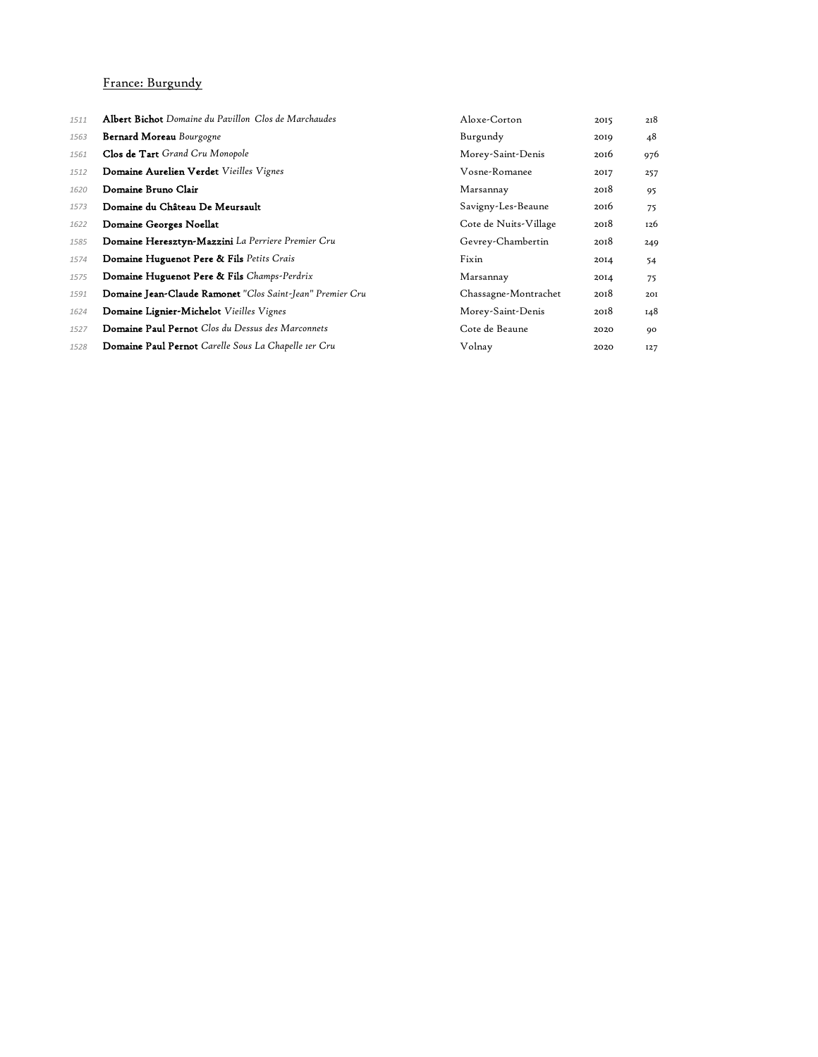#### France: Burgundy

| 1511 | <b>Albert Bichot</b> Domaine du Pavillon Clos de Marchaudes | Aloxe-Corton          | 2015 | 218 |
|------|-------------------------------------------------------------|-----------------------|------|-----|
| 1563 | <b>Bernard Moreau</b> Bourgogne                             | Burgundy              | 2019 | 48  |
| 1561 | Clos de Tart Grand Cru Monopole                             | Morey-Saint-Denis     | 2016 | 976 |
| 1512 | Domaine Aurelien Verdet Vieilles Vignes                     | Vosne-Romanee         | 2017 | 257 |
| 1620 | Domaine Bruno Clair                                         | Marsannay             | 2018 | 95  |
| 1573 | Domaine du Château De Meursault                             | Savigny-Les-Beaune    | 2016 | 75  |
| 1622 | Domaine Georges Noellat                                     | Cote de Nuits-Village | 2018 | 126 |
| 1585 | Domaine Heresztyn-Mazzini La Perriere Premier Cru           | Gevrey-Chambertin     | 2018 | 249 |
| 1574 | Domaine Huguenot Pere & Fils Petits Crais                   | Fixin                 | 2014 | 54  |
| 1575 | Domaine Huguenot Pere & Fils Champs-Perdrix                 | Marsannay             | 2014 | 75  |
| 1591 | Domaine Jean-Claude Ramonet "Clos Saint-Jean" Premier Cru   | Chassagne-Montrachet  | 2018 | 201 |
| 1624 | Domaine Lignier-Michelot Vieilles Vignes                    | Morey-Saint-Denis     | 2018 | 148 |
| 1527 | <b>Domaine Paul Pernot</b> Clos du Dessus des Marconnets    | Cote de Beaune        | 2020 | 90  |
| 1528 | <b>Domaine Paul Pernot</b> Carelle Sous La Chapelle 1er Cru | Volnav                | 2020 | 127 |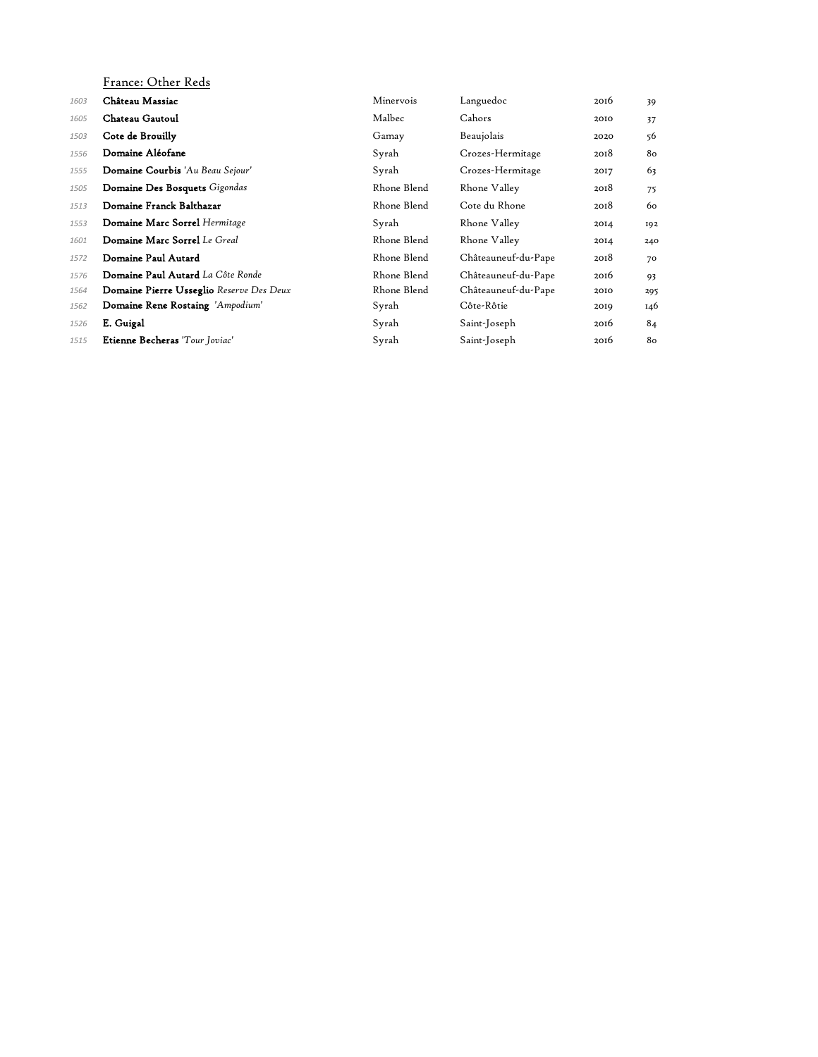|      | France: Other Reds                       |             |                     |      |     |
|------|------------------------------------------|-------------|---------------------|------|-----|
| 1603 | Château Massiac                          | Minervois   | Languedoc           | 2016 | 39  |
| 1605 | Chateau Gautoul                          | Malbec      | Cahors              | 2010 | 37  |
| 1503 | Cote de Brouilly                         | Gamay       | Beaujolais          | 2020 | 56  |
| 1556 | Domaine Aléofane                         | Syrah       | Crozes-Hermitage    | 2018 | 80  |
| 1555 | Domaine Courbis 'Au Beau Sejour'         | Syrah       | Crozes-Hermitage    | 2017 | 63  |
| 1505 | Domaine Des Bosquets Gigondas            | Rhone Blend | Rhone Valley        | 2018 | 75  |
| 1513 | Domaine Franck Balthazar                 | Rhone Blend | Cote du Rhone       | 2018 | 60  |
| 1553 | Domaine Marc Sorrel Hermitage            | Syrah       | Rhone Valley        | 2014 | 192 |
| 1601 | Domaine Marc Sorrel Le Greal             | Rhone Blend | Rhone Valley        | 2014 | 240 |
| 1572 | Domaine Paul Autard                      | Rhone Blend | Châteauneuf-du-Pape | 2018 | 70  |
| 1576 | Domaine Paul Autard La Côte Ronde        | Rhone Blend | Châteauneuf-du-Pape | 2016 | 93  |
| 1564 | Domaine Pierre Usseglio Reserve Des Deux | Rhone Blend | Châteauneuf-du-Pape | 2010 | 295 |
| 1562 | Domaine Rene Rostaing 'Ampodium'         | Syrah       | Côte-Rôtie          | 2019 | 146 |
| 1526 | E. Guigal                                | Syrah       | Saint-Joseph        | 2016 | 84  |
| 1515 | Etienne Becheras 'Tour Joviac'           | Syrah       | Saint-Joseph        | 2016 | 80  |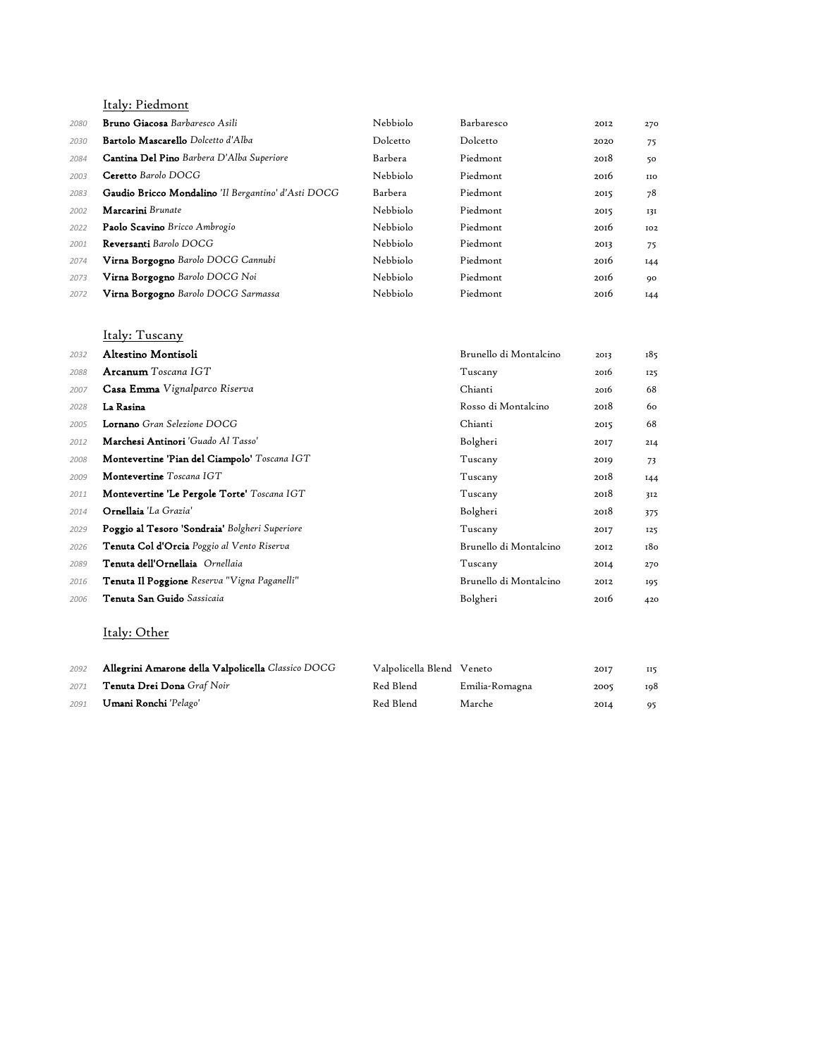Italy: Piedmont

| 2080 | <b>Bruno Giacosa</b> Barbaresco Asili               | Nebbiolo | Barbaresco | 2012 | 270        |
|------|-----------------------------------------------------|----------|------------|------|------------|
| 2030 | <b>Bartolo Mascarello</b> Dolcetto d'Alba           | Dolcetto | Dolcetto   | 2020 | 75         |
| 2084 | Cantina Del Pino Barbera D'Alba Superiore           | Barbera  | Piedmont   | 2018 | 50         |
| 2003 | Ceretto Barolo DOCG                                 | Nebbiolo | Piedmont   | 2016 | <b>IIO</b> |
| 2083 | Gaudio Bricco Mondalino 'Il Bergantino' d'Asti DOCG | Barbera  | Piedmont   | 2015 | 78         |
| 2002 | Marcarini Brunate                                   | Nebbiolo | Piedmont   | 2015 | 13I        |
| 2022 | Paolo Scavino Bricco Ambrogio                       | Nebbiolo | Piedmont   | 2016 | 102        |
| 2001 | Reversanti Barolo DOCG                              | Nebbiolo | Piedmont   | 2013 | 75         |
| 2074 | Virna Borgogno Barolo DOCG Cannubi                  | Nebbiolo | Piedmont   | 2016 | 144        |
| 2073 | Virna Borgogno Barolo DOCG Noi                      | Nebbiolo | Piedmont   | 2016 | 90         |
| 2072 | Virna Borgogno Barolo DOCG Sarmassa                 | Nebbiolo | Piedmont   | 2016 | 144        |

### Italy: Tuscany

| 2032 | Altestino Montisoli                                 | Brunello di Montalcino | 2013 | 185             |
|------|-----------------------------------------------------|------------------------|------|-----------------|
| 2088 | Arcanum Toscana IGT                                 | Tuscany                | 2016 | 125             |
| 2007 | <b>Casa Emma</b> Vignalparco Riserva                | Chianti                | 2016 | 68              |
| 2028 | La Rasina                                           | Rosso di Montalcino    | 2018 | 60              |
| 2005 | <b>Lornano</b> Gran Selezione DOCG                  | Chianti                | 2015 | 68              |
| 2012 | Marchesi Antinori 'Guado Al Tasso'                  | Bolgheri               | 2017 | 2I <sub>4</sub> |
| 2008 | Montevertine 'Pian del Ciampolo' Toscana IGT        | Tuscany                | 2019 | 73              |
| 2009 | Montevertine Toscana IGT                            | Tuscany                | 2018 | I44             |
| 2011 | Montevertine 'Le Pergole Torte' Toscana IGT         | Tuscany                | 2018 | 312             |
| 2014 | Ornellaia 'La Grazia'                               | Bolgheri               | 2018 | 375             |
| 2029 | Poggio al Tesoro 'Sondraia' Bolgheri Superiore      | Tuscany                | 2017 | 125             |
| 2026 | <b>Tenuta Col d'Orcia</b> Poggio al Vento Riserva   | Brunello di Montalcino | 2012 | 180             |
| 2089 | Tenuta dell'Ornellaia Ornellaia                     | Tuscany                | 2014 | 270             |
| 2016 | <b>Tenuta Il Poggione</b> Reserva "Vigna Paganelli" | Brunello di Montalcino | 2012 | 195             |
| 2006 | <b>Tenuta San Guido</b> Sassicaia                   | Bolgheri               | 2016 | 420             |

### Italy: Other

| 2092 | Allegrini Amarone della Valpolicella Classico DOCG | Valpolicella Blend Veneto |                | 2017             | 115 |
|------|----------------------------------------------------|---------------------------|----------------|------------------|-----|
| 2071 | <b>Tenuta Drei Dona</b> Graf Noir                  | Red Blend                 | Emilia-Romagna | 2005             | 198 |
| 2091 | <b>Umani Ronchi</b> 'Pelago'                       | Red Blend                 | Marche         | 20I <sub>4</sub> | 95  |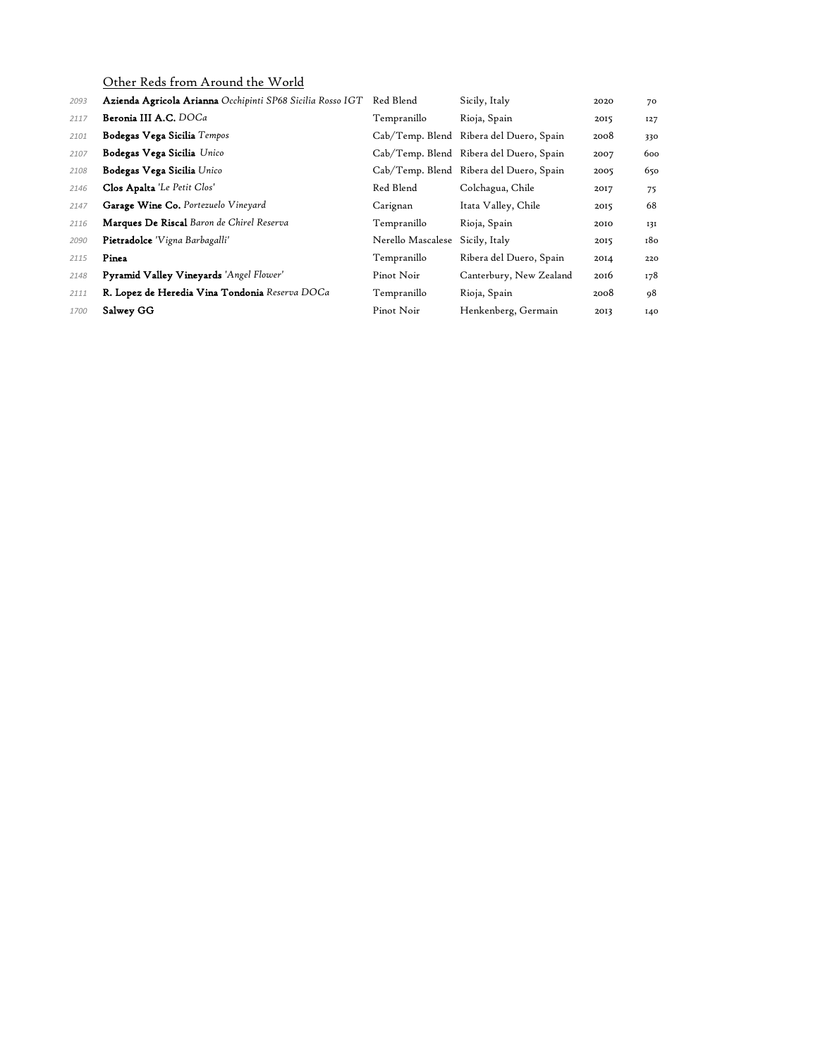Other Reds from Around the World

| 2093 | Azienda Agricola Arianna Occhipinti SP68 Sicilia Rosso IGT | Red Blend         | Sicily, Italy                           | 2020 | 70  |
|------|------------------------------------------------------------|-------------------|-----------------------------------------|------|-----|
| 2117 | Beronia III A.C. DOCa                                      | Tempranillo       | Rioja, Spain                            | 2015 | 127 |
| 2101 | Bodegas Vega Sicilia Tempos                                |                   | Cab/Temp. Blend Ribera del Duero, Spain | 2008 | 330 |
| 2107 | Bodegas Vega Sicilia Unico                                 |                   | Cab/Temp. Blend Ribera del Duero, Spain | 2007 | 600 |
| 2108 | Bodegas Vega Sicilia Unico                                 |                   | Cab/Temp. Blend Ribera del Duero, Spain | 2005 | 650 |
| 2146 | Clos Apalta 'Le Petit Clos'                                | Red Blend         | Colchagua, Chile                        | 2017 | 75  |
| 2147 | Garage Wine Co. Portezuelo Vineyard                        | Carignan          | Itata Valley, Chile                     | 2015 | 68  |
| 2116 | <b>Marques De Riscal</b> Baron de Chirel Reserva           | Tempranillo       | Rioja, Spain                            | 2010 | 131 |
| 2090 | Pietradolce 'Vigna Barbagalli'                             | Nerello Mascalese | Sicily, Italy                           | 2015 | 180 |
| 2115 | Pinea                                                      | Tempranillo       | Ribera del Duero, Spain                 | 2014 | 220 |
| 2148 | Pyramid Valley Vineyards 'Angel Flower'                    | Pinot Noir        | Canterbury, New Zealand                 | 2016 | 178 |
| 2111 | R. Lopez de Heredia Vina Tondonia Reserva DOCa             | Tempranillo       | Rioja, Spain                            | 2008 | 98  |
| 1700 | Salwey GG                                                  | Pinot Noir        | Henkenberg, Germain                     | 2013 | 140 |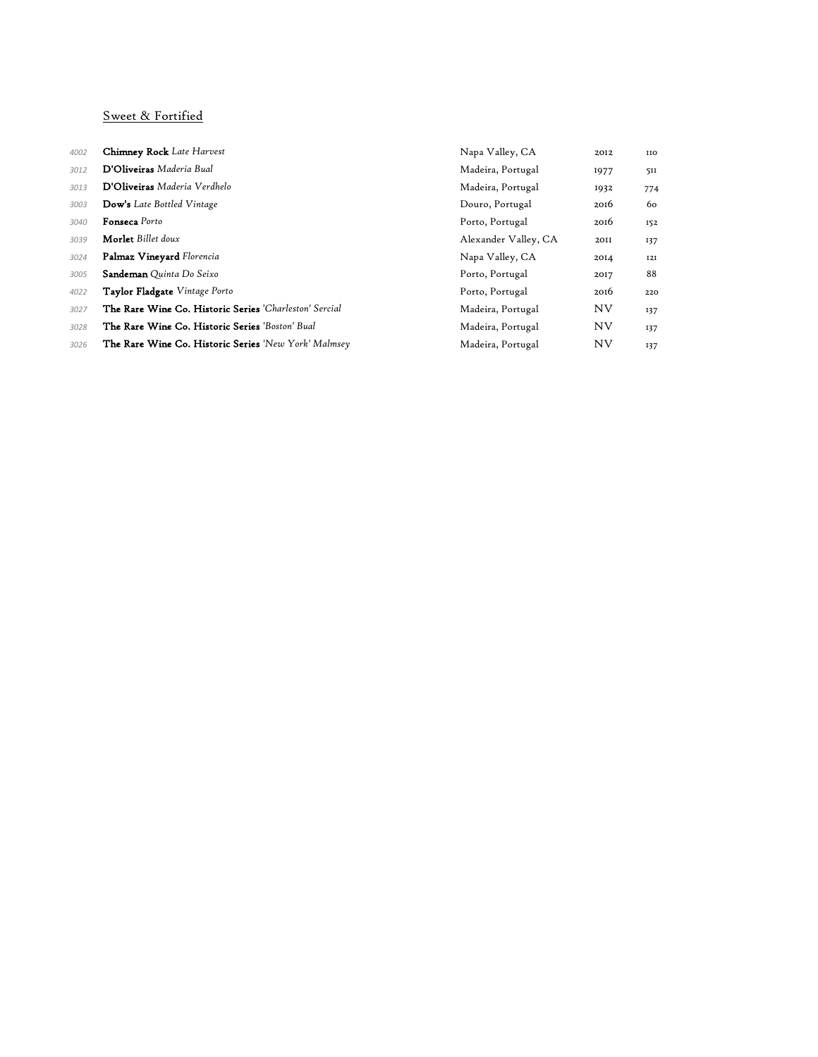#### Sweet & Fortified

| 4002 | <b>Chimney Rock</b> Late Harvest                            | Napa Valley, CA      | 2012      | <b>IIO</b> |
|------|-------------------------------------------------------------|----------------------|-----------|------------|
| 3012 | D'Oliveiras Maderia Bual                                    | Madeira, Portugal    | 1977      | 511        |
| 3013 | D'Oliveiras Maderia Verdhelo                                | Madeira, Portugal    | 1932      | 774        |
| 3003 | <b>Dow's</b> Late Bottled Vintage                           | Douro, Portugal      | 2016      | 60         |
| 3040 | <b>Fonseca</b> Porto                                        | Porto, Portugal      | 2016      | 152        |
| 3039 | <b>Morlet</b> Billet doux                                   | Alexander Valley, CA | 20II      | 137        |
| 3024 | Palmaz Vineyard Florencia                                   | Napa Valley, CA      | 2014      | I2I        |
| 3005 | Sandeman Quinta Do Seixo                                    | Porto, Portugal      | 2017      | 88         |
| 4022 | Taylor Fladgate Vintage Porto                               | Porto, Portugal      | 2016      | 220        |
| 3027 | The Rare Wine Co. Historic Series 'Charleston' Sercial      | Madeira, Portugal    | <b>NV</b> | 137        |
| 3028 | The Rare Wine Co. Historic Series 'Boston' Bual             | Madeira, Portugal    | <b>NV</b> | 137        |
| 3026 | <b>The Rare Wine Co. Historic Series</b> 'New York' Malmsey | Madeira, Portugal    | <b>NV</b> | 137        |